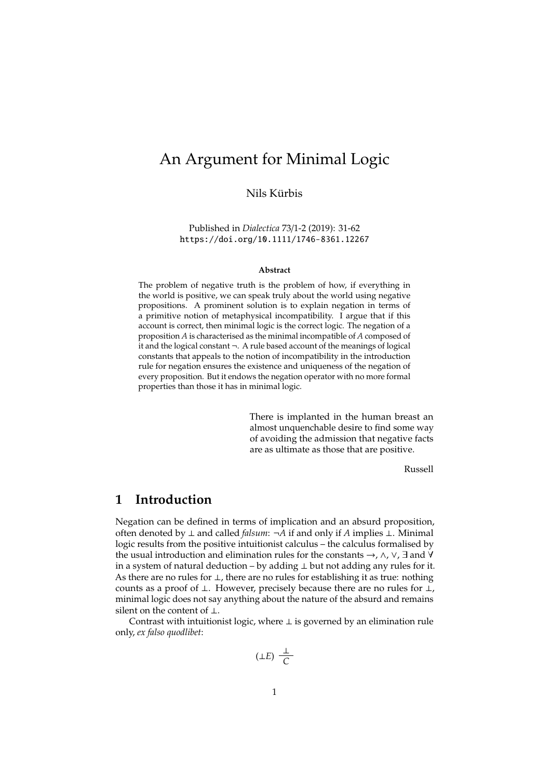# An Argument for Minimal Logic

#### Nils Kürbis

Published in *Dialectica* 73/1-2 (2019): 31-62 https://doi.org/10.1111/1746-8361.12267

#### **Abstract**

The problem of negative truth is the problem of how, if everything in the world is positive, we can speak truly about the world using negative propositions. A prominent solution is to explain negation in terms of a primitive notion of metaphysical incompatibility. I argue that if this account is correct, then minimal logic is the correct logic. The negation of a proposition *A* is characterised as the minimal incompatible of *A* composed of it and the logical constant ¬. A rule based account of the meanings of logical constants that appeals to the notion of incompatibility in the introduction rule for negation ensures the existence and uniqueness of the negation of every proposition. But it endows the negation operator with no more formal properties than those it has in minimal logic.

> There is implanted in the human breast an almost unquenchable desire to find some way of avoiding the admission that negative facts are as ultimate as those that are positive.

> > Russell

### **1 Introduction**

Negation can be defined in terms of implication and an absurd proposition, often denoted by ⊥ and called *falsum*: ¬*A* if and only if *A* implies ⊥. Minimal logic results from the positive intuitionist calculus – the calculus formalised by the usual introduction and elimination rules for the constants →, ∧, ∨, ∃ and ∀ in a system of natural deduction – by adding ⊥ but not adding any rules for it. As there are no rules for ⊥, there are no rules for establishing it as true: nothing counts as a proof of ⊥. However, precisely because there are no rules for ⊥, minimal logic does not say anything about the nature of the absurd and remains silent on the content of ⊥.

Contrast with intuitionist logic, where ⊥ is governed by an elimination rule only, *ex falso quodlibet*:

$$
(\perp E) \frac{\perp}{C}
$$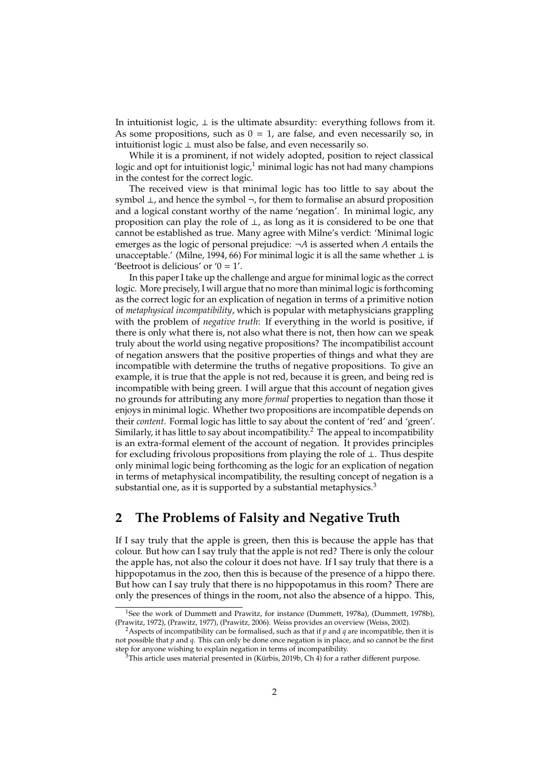In intuitionist logic, ⊥ is the ultimate absurdity: everything follows from it. As some propositions, such as  $0 = 1$ , are false, and even necessarily so, in intuitionist logic ⊥ must also be false, and even necessarily so.

While it is a prominent, if not widely adopted, position to reject classical logic and opt for intuitionist  $logic<sup>1</sup>$  minimal logic has not had many champions in the contest for the correct logic.

The received view is that minimal logic has too little to say about the symbol ⊥, and hence the symbol ¬, for them to formalise an absurd proposition and a logical constant worthy of the name 'negation'. In minimal logic, any proposition can play the role of ⊥, as long as it is considered to be one that cannot be established as true. Many agree with Milne's verdict: 'Minimal logic emerges as the logic of personal prejudice: ¬*A* is asserted when *A* entails the unacceptable.' (Milne, 1994, 66) For minimal logic it is all the same whether  $\perp$  is 'Beetroot is delicious' or ' $0 = 1'$ .

In this paper I take up the challenge and argue for minimal logic as the correct logic. More precisely, I will argue that no more than minimal logic is forthcoming as the correct logic for an explication of negation in terms of a primitive notion of *metaphysical incompatibility*, which is popular with metaphysicians grappling with the problem of *negative truth*: If everything in the world is positive, if there is only what there is, not also what there is not, then how can we speak truly about the world using negative propositions? The incompatibilist account of negation answers that the positive properties of things and what they are incompatible with determine the truths of negative propositions. To give an example, it is true that the apple is not red, because it is green, and being red is incompatible with being green. I will argue that this account of negation gives no grounds for attributing any more *formal* properties to negation than those it enjoys in minimal logic. Whether two propositions are incompatible depends on their *content*. Formal logic has little to say about the content of 'red' and 'green'. Similarly, it has little to say about incompatibility.<sup>2</sup> The appeal to incompatibility is an extra-formal element of the account of negation. It provides principles for excluding frivolous propositions from playing the role of ⊥. Thus despite only minimal logic being forthcoming as the logic for an explication of negation in terms of metaphysical incompatibility, the resulting concept of negation is a substantial one, as it is supported by a substantial metaphysics.<sup>3</sup>

#### **2 The Problems of Falsity and Negative Truth**

If I say truly that the apple is green, then this is because the apple has that colour. But how can I say truly that the apple is not red? There is only the colour the apple has, not also the colour it does not have. If I say truly that there is a hippopotamus in the zoo, then this is because of the presence of a hippo there. But how can I say truly that there is no hippopotamus in this room? There are only the presences of things in the room, not also the absence of a hippo. This,

<sup>&</sup>lt;sup>1</sup>See the work of Dummett and Prawitz, for instance (Dummett, 1978a), (Dummett, 1978b), (Prawitz, 1972), (Prawitz, 1977), (Prawitz, 2006). Weiss provides an overview (Weiss, 2002).

<sup>&</sup>lt;sup>2</sup>Aspects of incompatibility can be formalised, such as that if  $p$  and  $q$  are incompatible, then it is not possible that *p* and *q*. This can only be done once negation is in place, and so cannot be the first step for anyone wishing to explain negation in terms of incompatibility.

 ${}^{3}$ This article uses material presented in (Kürbis, 2019b, Ch 4) for a rather different purpose.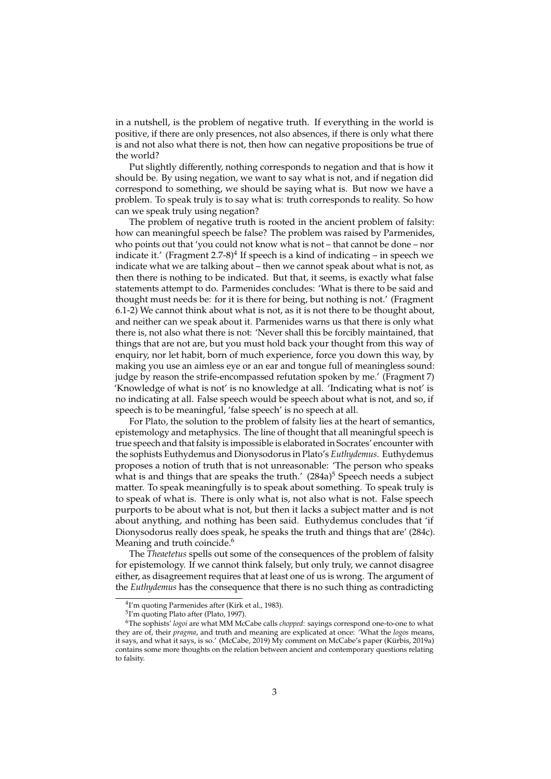in a nutshell, is the problem of negative truth. If everything in the world is positive, if there are only presences, not also absences, if there is only what there is and not also what there is not, then how can negative propositions be true of the world?

Put slightly differently, nothing corresponds to negation and that is how it should be. By using negation, we want to say what is not, and if negation did correspond to something, we should be saying what is. But now we have a problem. To speak truly is to say what is: truth corresponds to reality. So how can we speak truly using negation?

The problem of negative truth is rooted in the ancient problem of falsity: how can meaningful speech be false? The problem was raised by Parmenides, who points out that 'you could not know what is not – that cannot be done – nor indicate it.' (Fragment 2.7-8) $^4$  If speech is a kind of indicating – in speech we indicate what we are talking about – then we cannot speak about what is not, as then there is nothing to be indicated. But that, it seems, is exactly what false statements attempt to do. Parmenides concludes: 'What is there to be said and thought must needs be: for it is there for being, but nothing is not.' (Fragment 6.1-2) We cannot think about what is not, as it is not there to be thought about, and neither can we speak about it. Parmenides warns us that there is only what there is, not also what there is not: 'Never shall this be forcibly maintained, that things that are not are, but you must hold back your thought from this way of enquiry, nor let habit, born of much experience, force you down this way, by making you use an aimless eye or an ear and tongue full of meaningless sound: judge by reason the strife-encompassed refutation spoken by me.' (Fragment 7) 'Knowledge of what is not' is no knowledge at all. 'Indicating what is not' is no indicating at all. False speech would be speech about what is not, and so, if speech is to be meaningful, 'false speech' is no speech at all.

For Plato, the solution to the problem of falsity lies at the heart of semantics, epistemology and metaphysics. The line of thought that all meaningful speech is true speech and that falsity is impossible is elaborated in Socrates' encounter with the sophists Euthydemus and Dionysodorus in Plato's *Euthydemus*. Euthydemus proposes a notion of truth that is not unreasonable: 'The person who speaks what is and things that are speaks the truth.'  $(284a)^5$  Speech needs a subject matter. To speak meaningfully is to speak about something. To speak truly is to speak of what is. There is only what is, not also what is not. False speech purports to be about what is not, but then it lacks a subject matter and is not about anything, and nothing has been said. Euthydemus concludes that 'if Dionysodorus really does speak, he speaks the truth and things that are' (284c). Meaning and truth coincide.<sup>6</sup>

The *Theaetetus* spells out some of the consequences of the problem of falsity for epistemology. If we cannot think falsely, but only truly, we cannot disagree either, as disagreement requires that at least one of us is wrong. The argument of the *Euthydemus* has the consequence that there is no such thing as contradicting

<sup>4</sup> I'm quoting Parmenides after (Kirk et al., 1983).

<sup>5</sup> I'm quoting Plato after (Plato, 1997).

<sup>6</sup>The sophists' *logoi* are what MM McCabe calls *chopped*: sayings correspond one-to-one to what they are of, their *pragma*, and truth and meaning are explicated at once: 'What the *logos* means, it says, and what it says, is so.' (McCabe, 2019) My comment on McCabe's paper (Kurbis, 2019a) ¨ contains some more thoughts on the relation between ancient and contemporary questions relating to falsity.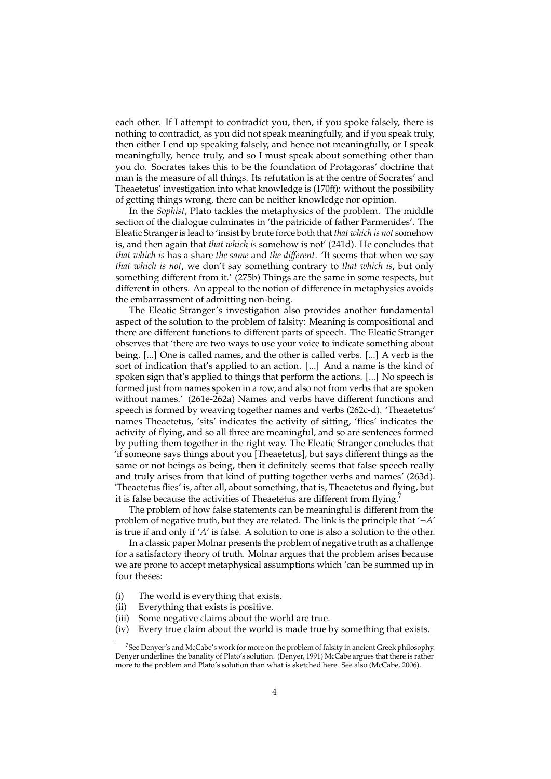each other. If I attempt to contradict you, then, if you spoke falsely, there is nothing to contradict, as you did not speak meaningfully, and if you speak truly, then either I end up speaking falsely, and hence not meaningfully, or I speak meaningfully, hence truly, and so I must speak about something other than you do. Socrates takes this to be the foundation of Protagoras' doctrine that man is the measure of all things. Its refutation is at the centre of Socrates' and Theaetetus' investigation into what knowledge is (170ff): without the possibility of getting things wrong, there can be neither knowledge nor opinion.

In the *Sophist*, Plato tackles the metaphysics of the problem. The middle section of the dialogue culminates in 'the patricide of father Parmenides'. The Eleatic Stranger is lead to 'insist by brute force both that *that which is not* somehow is, and then again that *that which is* somehow is not' (241d). He concludes that *that which is* has a share *the same* and *the di*ff*erent*. 'It seems that when we say *that which is not*, we don't say something contrary to *that which is*, but only something different from it.' (275b) Things are the same in some respects, but different in others. An appeal to the notion of difference in metaphysics avoids the embarrassment of admitting non-being.

The Eleatic Stranger's investigation also provides another fundamental aspect of the solution to the problem of falsity: Meaning is compositional and there are different functions to different parts of speech. The Eleatic Stranger observes that 'there are two ways to use your voice to indicate something about being. [...] One is called names, and the other is called verbs. [...] A verb is the sort of indication that's applied to an action. [...] And a name is the kind of spoken sign that's applied to things that perform the actions. [...] No speech is formed just from names spoken in a row, and also not from verbs that are spoken without names.' (261e-262a) Names and verbs have different functions and speech is formed by weaving together names and verbs (262c-d). 'Theaetetus' names Theaetetus, 'sits' indicates the activity of sitting, 'flies' indicates the activity of flying, and so all three are meaningful, and so are sentences formed by putting them together in the right way. The Eleatic Stranger concludes that 'if someone says things about you [Theaetetus], but says different things as the same or not beings as being, then it definitely seems that false speech really and truly arises from that kind of putting together verbs and names' (263d). 'Theaetetus flies' is, after all, about something, that is, Theaetetus and flying, but it is false because the activities of Theaetetus are different from flying.<sup>7</sup>

The problem of how false statements can be meaningful is different from the problem of negative truth, but they are related. The link is the principle that '¬*A*' is true if and only if '*A*' is false. A solution to one is also a solution to the other.

In a classic paper Molnar presents the problem of negative truth as a challenge for a satisfactory theory of truth. Molnar argues that the problem arises because we are prone to accept metaphysical assumptions which 'can be summed up in four theses:

- (i) The world is everything that exists.
- (ii) Everything that exists is positive.
- (iii) Some negative claims about the world are true.
- (iv) Every true claim about the world is made true by something that exists.

<sup>7</sup>See Denyer's and McCabe's work for more on the problem of falsity in ancient Greek philosophy. Denyer underlines the banality of Plato's solution. (Denyer, 1991) McCabe argues that there is rather more to the problem and Plato's solution than what is sketched here. See also (McCabe, 2006).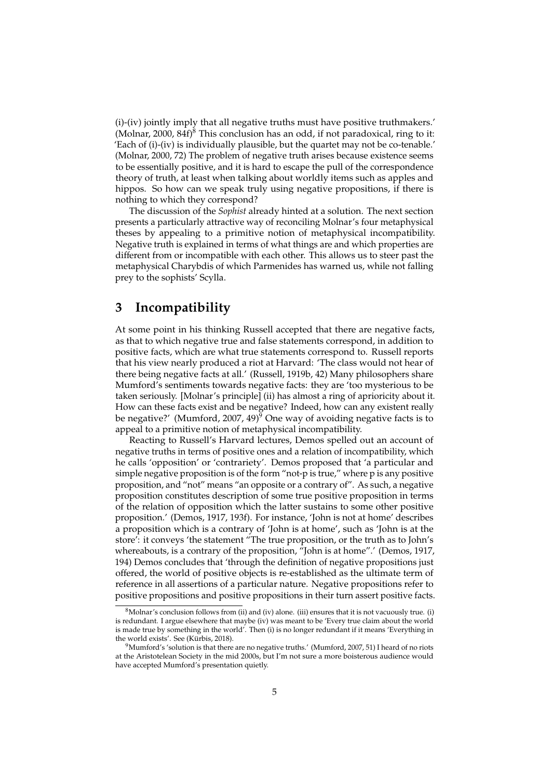(i)-(iv) jointly imply that all negative truths must have positive truthmakers.' (Molnar, 2000,  $84f$ <sup>8</sup>)<sup>8</sup> This conclusion has an odd, if not paradoxical, ring to it: 'Each of (i)-(iv) is individually plausible, but the quartet may not be co-tenable.' (Molnar, 2000, 72) The problem of negative truth arises because existence seems to be essentially positive, and it is hard to escape the pull of the correspondence theory of truth, at least when talking about worldly items such as apples and hippos. So how can we speak truly using negative propositions, if there is nothing to which they correspond?

The discussion of the *Sophist* already hinted at a solution. The next section presents a particularly attractive way of reconciling Molnar's four metaphysical theses by appealing to a primitive notion of metaphysical incompatibility. Negative truth is explained in terms of what things are and which properties are different from or incompatible with each other. This allows us to steer past the metaphysical Charybdis of which Parmenides has warned us, while not falling prey to the sophists' Scylla.

### **3 Incompatibility**

At some point in his thinking Russell accepted that there are negative facts, as that to which negative true and false statements correspond, in addition to positive facts, which are what true statements correspond to. Russell reports that his view nearly produced a riot at Harvard: 'The class would not hear of there being negative facts at all.' (Russell, 1919b, 42) Many philosophers share Mumford's sentiments towards negative facts: they are 'too mysterious to be taken seriously. [Molnar's principle] (ii) has almost a ring of aprioricity about it. How can these facts exist and be negative? Indeed, how can any existent really be negative?' (Mumford, 2007, 49)<sup>9</sup> One way of avoiding negative facts is to appeal to a primitive notion of metaphysical incompatibility.

Reacting to Russell's Harvard lectures, Demos spelled out an account of negative truths in terms of positive ones and a relation of incompatibility, which he calls 'opposition' or 'contrariety'. Demos proposed that 'a particular and simple negative proposition is of the form "not-p is true," where p is any positive proposition, and "not" means "an opposite or a contrary of". As such, a negative proposition constitutes description of some true positive proposition in terms of the relation of opposition which the latter sustains to some other positive proposition.' (Demos, 1917, 193f). For instance, 'John is not at home' describes a proposition which is a contrary of 'John is at home', such as 'John is at the store': it conveys 'the statement "The true proposition, or the truth as to John's whereabouts, is a contrary of the proposition, "John is at home".' (Demos, 1917, 194) Demos concludes that 'through the definition of negative propositions just offered, the world of positive objects is re-established as the ultimate term of reference in all assertions of a particular nature. Negative propositions refer to positive propositions and positive propositions in their turn assert positive facts.

 $8$ Molnar's conclusion follows from (ii) and (iv) alone. (iii) ensures that it is not vacuously true. (i) is redundant. I argue elsewhere that maybe (iv) was meant to be 'Every true claim about the world is made true by something in the world'. Then (i) is no longer redundant if it means 'Everything in the world exists'. See (Kürbis, 2018).

<sup>&</sup>lt;sup>9</sup>Mumford's 'solution is that there are no negative truths.' (Mumford, 2007, 51) I heard of no riots at the Aristotelean Society in the mid 2000s, but I'm not sure a more boisterous audience would have accepted Mumford's presentation quietly.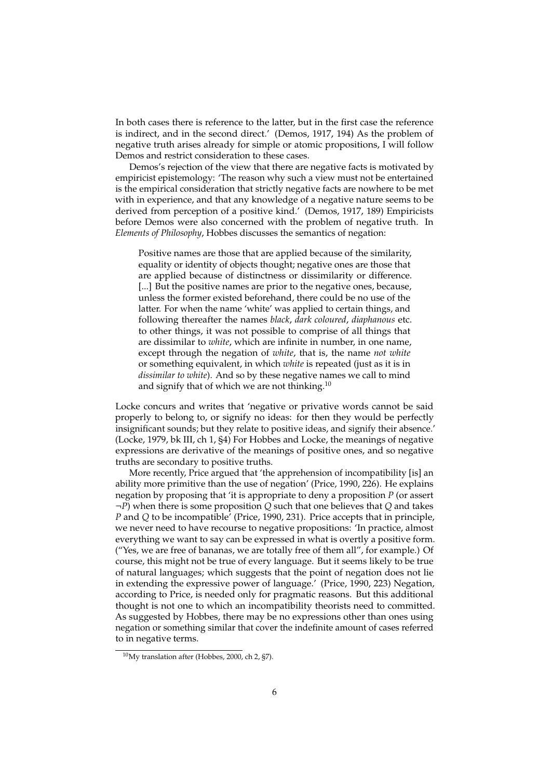In both cases there is reference to the latter, but in the first case the reference is indirect, and in the second direct.' (Demos, 1917, 194) As the problem of negative truth arises already for simple or atomic propositions, I will follow Demos and restrict consideration to these cases.

Demos's rejection of the view that there are negative facts is motivated by empiricist epistemology: 'The reason why such a view must not be entertained is the empirical consideration that strictly negative facts are nowhere to be met with in experience, and that any knowledge of a negative nature seems to be derived from perception of a positive kind.' (Demos, 1917, 189) Empiricists before Demos were also concerned with the problem of negative truth. In *Elements of Philosophy*, Hobbes discusses the semantics of negation:

Positive names are those that are applied because of the similarity, equality or identity of objects thought; negative ones are those that are applied because of distinctness or dissimilarity or difference. [...] But the positive names are prior to the negative ones, because, unless the former existed beforehand, there could be no use of the latter. For when the name 'white' was applied to certain things, and following thereafter the names *black*, *dark coloured*, *diaphanous* etc. to other things, it was not possible to comprise of all things that are dissimilar to *white*, which are infinite in number, in one name, except through the negation of *white*, that is, the name *not white* or something equivalent, in which *white* is repeated (just as it is in *dissimilar to white*). And so by these negative names we call to mind and signify that of which we are not thinking.<sup>10</sup>

Locke concurs and writes that 'negative or privative words cannot be said properly to belong to, or signify no ideas: for then they would be perfectly insignificant sounds; but they relate to positive ideas, and signify their absence.' (Locke, 1979, bk III, ch 1, §4) For Hobbes and Locke, the meanings of negative expressions are derivative of the meanings of positive ones, and so negative truths are secondary to positive truths.

More recently, Price argued that 'the apprehension of incompatibility [is] an ability more primitive than the use of negation' (Price, 1990, 226). He explains negation by proposing that 'it is appropriate to deny a proposition *P* (or assert ¬*P*) when there is some proposition *Q* such that one believes that *Q* and takes *P* and *Q* to be incompatible' (Price, 1990, 231). Price accepts that in principle, we never need to have recourse to negative propositions: 'In practice, almost everything we want to say can be expressed in what is overtly a positive form. ("Yes, we are free of bananas, we are totally free of them all", for example.) Of course, this might not be true of every language. But it seems likely to be true of natural languages; which suggests that the point of negation does not lie in extending the expressive power of language.' (Price, 1990, 223) Negation, according to Price, is needed only for pragmatic reasons. But this additional thought is not one to which an incompatibility theorists need to committed. As suggested by Hobbes, there may be no expressions other than ones using negation or something similar that cover the indefinite amount of cases referred to in negative terms.

 $10$ My translation after (Hobbes, 2000, ch 2, §7).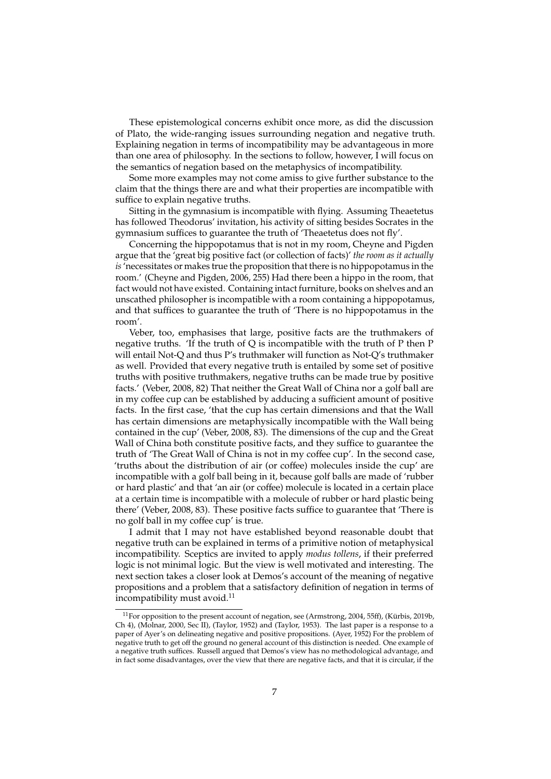These epistemological concerns exhibit once more, as did the discussion of Plato, the wide-ranging issues surrounding negation and negative truth. Explaining negation in terms of incompatibility may be advantageous in more than one area of philosophy. In the sections to follow, however, I will focus on the semantics of negation based on the metaphysics of incompatibility.

Some more examples may not come amiss to give further substance to the claim that the things there are and what their properties are incompatible with suffice to explain negative truths.

Sitting in the gymnasium is incompatible with flying. Assuming Theaetetus has followed Theodorus' invitation, his activity of sitting besides Socrates in the gymnasium suffices to guarantee the truth of 'Theaetetus does not fly'.

Concerning the hippopotamus that is not in my room, Cheyne and Pigden argue that the 'great big positive fact (or collection of facts)' *the room as it actually is*'necessitates or makes true the proposition that there is no hippopotamus in the room.' (Cheyne and Pigden, 2006, 255) Had there been a hippo in the room, that fact would not have existed. Containing intact furniture, books on shelves and an unscathed philosopher is incompatible with a room containing a hippopotamus, and that suffices to guarantee the truth of 'There is no hippopotamus in the room'.

Veber, too, emphasises that large, positive facts are the truthmakers of negative truths. 'If the truth of  $Q$  is incompatible with the truth of  $P$  then  $P$ will entail Not-Q and thus P's truthmaker will function as Not-Q's truthmaker as well. Provided that every negative truth is entailed by some set of positive truths with positive truthmakers, negative truths can be made true by positive facts.' (Veber, 2008, 82) That neither the Great Wall of China nor a golf ball are in my coffee cup can be established by adducing a sufficient amount of positive facts. In the first case, 'that the cup has certain dimensions and that the Wall has certain dimensions are metaphysically incompatible with the Wall being contained in the cup' (Veber, 2008, 83). The dimensions of the cup and the Great Wall of China both constitute positive facts, and they suffice to guarantee the truth of 'The Great Wall of China is not in my coffee cup'. In the second case, 'truths about the distribution of air (or coffee) molecules inside the cup' are incompatible with a golf ball being in it, because golf balls are made of 'rubber or hard plastic' and that 'an air (or coffee) molecule is located in a certain place at a certain time is incompatible with a molecule of rubber or hard plastic being there' (Veber, 2008, 83). These positive facts suffice to guarantee that 'There is no golf ball in my coffee cup' is true.

I admit that I may not have established beyond reasonable doubt that negative truth can be explained in terms of a primitive notion of metaphysical incompatibility. Sceptics are invited to apply *modus tollens*, if their preferred logic is not minimal logic. But the view is well motivated and interesting. The next section takes a closer look at Demos's account of the meaning of negative propositions and a problem that a satisfactory definition of negation in terms of incompatibility must avoid.<sup>11</sup>

 $11$ For opposition to the present account of negation, see (Armstrong, 2004, 55ff), (Kürbis, 2019b, Ch 4), (Molnar, 2000, Sec II), (Taylor, 1952) and (Taylor, 1953). The last paper is a response to a paper of Ayer's on delineating negative and positive propositions. (Ayer, 1952) For the problem of negative truth to get off the ground no general account of this distinction is needed. One example of a negative truth suffices. Russell argued that Demos's view has no methodological advantage, and in fact some disadvantages, over the view that there are negative facts, and that it is circular, if the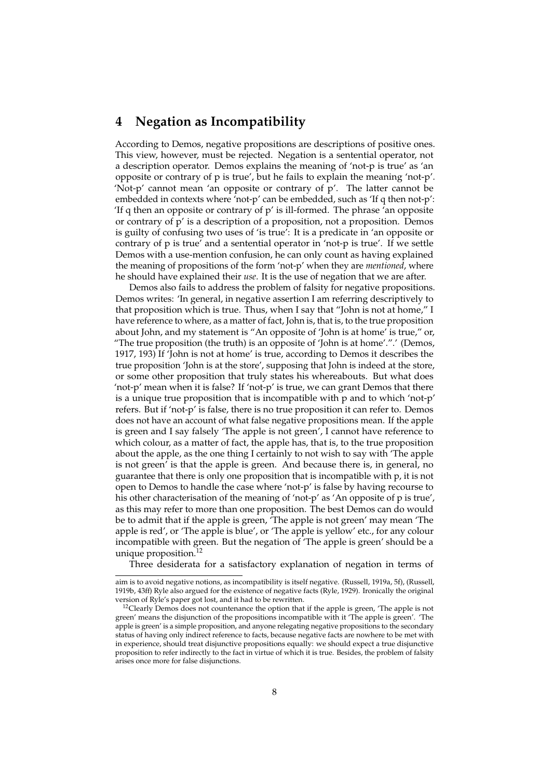#### **4 Negation as Incompatibility**

According to Demos, negative propositions are descriptions of positive ones. This view, however, must be rejected. Negation is a sentential operator, not a description operator. Demos explains the meaning of 'not-p is true' as 'an opposite or contrary of p is true', but he fails to explain the meaning 'not-p'. 'Not-p' cannot mean 'an opposite or contrary of p'. The latter cannot be embedded in contexts where 'not-p' can be embedded, such as 'If q then not-p': 'If q then an opposite or contrary of p' is ill-formed. The phrase 'an opposite or contrary of p' is a description of a proposition, not a proposition. Demos is guilty of confusing two uses of 'is true': It is a predicate in 'an opposite or contrary of p is true' and a sentential operator in 'not-p is true'. If we settle Demos with a use-mention confusion, he can only count as having explained the meaning of propositions of the form 'not-p' when they are *mentioned*, where he should have explained their *use*. It is the use of negation that we are after.

Demos also fails to address the problem of falsity for negative propositions. Demos writes: 'In general, in negative assertion I am referring descriptively to that proposition which is true. Thus, when I say that "John is not at home," I have reference to where, as a matter of fact, John is, that is, to the true proposition about John, and my statement is "An opposite of 'John is at home' is true," or, "The true proposition (the truth) is an opposite of 'John is at home'.".' (Demos, 1917, 193) If 'John is not at home' is true, according to Demos it describes the true proposition 'John is at the store', supposing that John is indeed at the store, or some other proposition that truly states his whereabouts. But what does 'not-p' mean when it is false? If 'not-p' is true, we can grant Demos that there is a unique true proposition that is incompatible with p and to which 'not-p' refers. But if 'not-p' is false, there is no true proposition it can refer to. Demos does not have an account of what false negative propositions mean. If the apple is green and I say falsely 'The apple is not green', I cannot have reference to which colour, as a matter of fact, the apple has, that is, to the true proposition about the apple, as the one thing I certainly to not wish to say with 'The apple is not green' is that the apple is green. And because there is, in general, no guarantee that there is only one proposition that is incompatible with p, it is not open to Demos to handle the case where 'not-p' is false by having recourse to his other characterisation of the meaning of 'not-p' as 'An opposite of p is true', as this may refer to more than one proposition. The best Demos can do would be to admit that if the apple is green, 'The apple is not green' may mean 'The apple is red', or 'The apple is blue', or 'The apple is yellow' etc., for any colour incompatible with green. But the negation of 'The apple is green' should be a unique proposition.<sup>12</sup>

Three desiderata for a satisfactory explanation of negation in terms of

aim is to avoid negative notions, as incompatibility is itself negative. (Russell, 1919a, 5f), (Russell, 1919b, 43ff) Ryle also argued for the existence of negative facts (Ryle, 1929). Ironically the original version of Ryle's paper got lost, and it had to be rewritten.

 $12$ Clearly Demos does not countenance the option that if the apple is green, 'The apple is not green' means the disjunction of the propositions incompatible with it 'The apple is green'. 'The apple is green' is a simple proposition, and anyone relegating negative propositions to the secondary status of having only indirect reference to facts, because negative facts are nowhere to be met with in experience, should treat disjunctive propositions equally: we should expect a true disjunctive proposition to refer indirectly to the fact in virtue of which it is true. Besides, the problem of falsity arises once more for false disjunctions.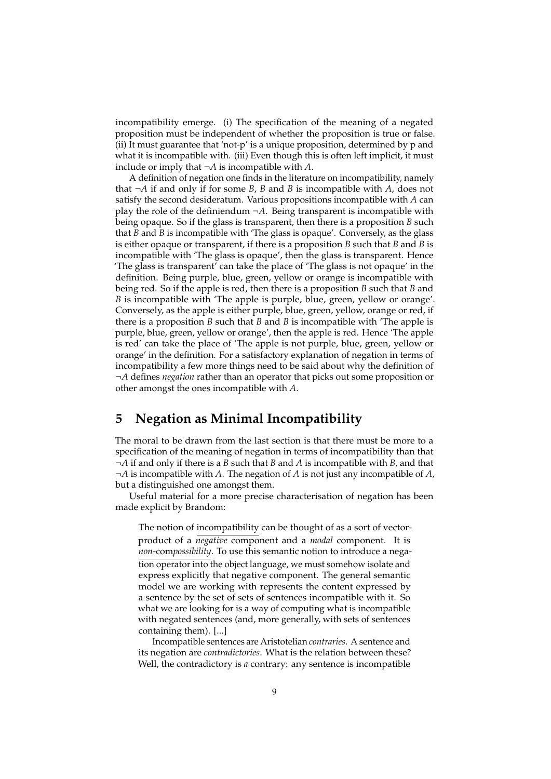incompatibility emerge. (i) The specification of the meaning of a negated proposition must be independent of whether the proposition is true or false. (ii) It must guarantee that 'not-p' is a unique proposition, determined by p and what it is incompatible with. (iii) Even though this is often left implicit, it must include or imply that ¬*A* is incompatible with *A*.

A definition of negation one finds in the literature on incompatibility, namely that  $\neg A$  if and only if for some *B*, *B* and *B* is incompatible with *A*, does not satisfy the second desideratum. Various propositions incompatible with *A* can play the role of the definiendum  $\neg A$ . Being transparent is incompatible with being opaque. So if the glass is transparent, then there is a proposition *B* such that *B* and *B* is incompatible with 'The glass is opaque'. Conversely, as the glass is either opaque or transparent, if there is a proposition *B* such that *B* and *B* is incompatible with 'The glass is opaque', then the glass is transparent. Hence 'The glass is transparent' can take the place of 'The glass is not opaque' in the definition. Being purple, blue, green, yellow or orange is incompatible with being red. So if the apple is red, then there is a proposition *B* such that *B* and *B* is incompatible with 'The apple is purple, blue, green, yellow or orange'. Conversely, as the apple is either purple, blue, green, yellow, orange or red, if there is a proposition *B* such that *B* and *B* is incompatible with 'The apple is purple, blue, green, yellow or orange', then the apple is red. Hence 'The apple is red' can take the place of 'The apple is not purple, blue, green, yellow or orange' in the definition. For a satisfactory explanation of negation in terms of incompatibility a few more things need to be said about why the definition of ¬*A* defines *negation* rather than an operator that picks out some proposition or other amongst the ones incompatible with *A*.

### **5 Negation as Minimal Incompatibility**

The moral to be drawn from the last section is that there must be more to a specification of the meaning of negation in terms of incompatibility than that ¬*A* if and only if there is a *B* such that *B* and *A* is incompatible with *B*, and that ¬*A* is incompatible with *A*. The negation of *A* is not just any incompatible of *A*, but a distinguished one amongst them.

Useful material for a more precise characterisation of negation has been made explicit by Brandom:

The notion of incompatibility can be thought of as a sort of vectorproduct of a *negative* component and a *modal* component. It is *non*-com*possibility*. To use this semantic notion to introduce a negation operator into the object language, we must somehow isolate and express explicitly that negative component. The general semantic model we are working with represents the content expressed by a sentence by the set of sets of sentences incompatible with it. So what we are looking for is a way of computing what is incompatible with negated sentences (and, more generally, with sets of sentences containing them). [...]

Incompatible sentences are Aristotelian *contraries*. A sentence and its negation are *contradictories*. What is the relation between these? Well, the contradictory is *a* contrary: any sentence is incompatible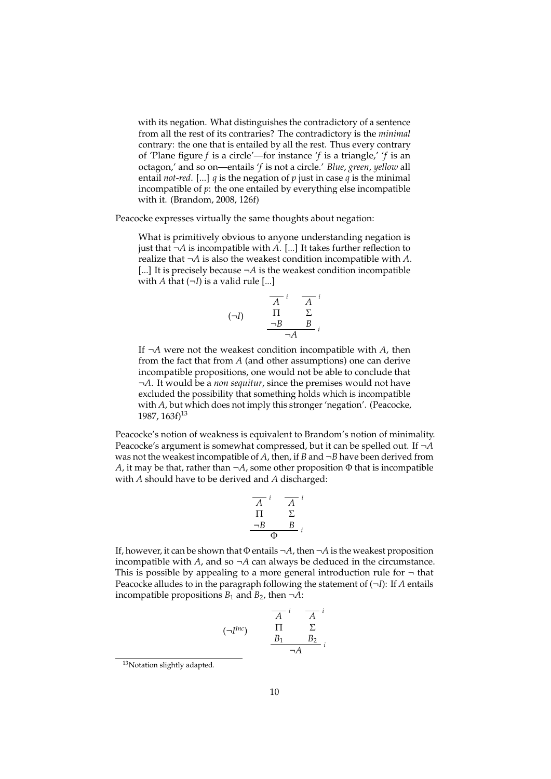with its negation. What distinguishes the contradictory of a sentence from all the rest of its contraries? The contradictory is the *minimal* contrary: the one that is entailed by all the rest. Thus every contrary of 'Plane figure *f* is a circle'—for instance '*f* is a triangle,' '*f* is an octagon,' and so on—entails '*f* is not a circle.' *Blue*, *green*, *yellow* all entail *not-red*. [...] *q* is the negation of *p* just in case *q* is the minimal incompatible of *p*: the one entailed by everything else incompatible with it. (Brandom, 2008, 126f)

Peacocke expresses virtually the same thoughts about negation:

What is primitively obvious to anyone understanding negation is just that  $\neg A$  is incompatible with  $\overline{A}$ . [...] It takes further reflection to realize that ¬*A* is also the weakest condition incompatible with *A*. [...] It is precisely because  $\neg A$  is the weakest condition incompatible with *A* that  $(\neg I)$  is a valid rule  $[...]$ 

$$
(\neg I) \qquad \begin{array}{ccc} \overline{A} & \overline{A} \\ \Pi & \Sigma \\ \neg B & B \\ \neg A \end{array}
$$

If ¬*A* were not the weakest condition incompatible with *A*, then from the fact that from *A* (and other assumptions) one can derive incompatible propositions, one would not be able to conclude that ¬*A*. It would be a *non sequitur*, since the premises would not have excluded the possibility that something holds which is incompatible with *A*, but which does not imply this stronger 'negation'. (Peacocke, 1987, 163 $f$ <sup>13</sup>

Peacocke's notion of weakness is equivalent to Brandom's notion of minimality. Peacocke's argument is somewhat compressed, but it can be spelled out. If ¬*A* was not the weakest incompatible of *A*, then, if *B* and ¬*B* have been derived from *A*, it may be that, rather than  $\neg A$ , some other proposition  $\Phi$  that is incompatible with *A* should have to be derived and *A* discharged:

$$
\begin{array}{c|cc}\n\hline\n\overline{A} & i & \overline{A} & i \\
\hline\n\Pi & \Sigma & \\
\hline\n\neg B & B & \\
\hline\n\Phi & \n\end{array}
$$

If, however, it can be shown that  $\Phi$  entails  $\neg A$ , then  $\neg A$  is the weakest proposition incompatible with  $A$ , and so  $\neg A$  can always be deduced in the circumstance. This is possible by appealing to a more general introduction rule for  $\neg$  that Peacocke alludes to in the paragraph following the statement of (¬*I*): If *A* entails incompatible propositions  $B_1$  and  $B_2$ , then  $\neg A$ :

$$
(\neg I^{Inc}) \qquad \frac{\overline{A}^{i}}{\Pi} \sum_{\substack{B_1 \\ \neg A}}^{i} i
$$

<sup>&</sup>lt;sup>13</sup>Notation slightly adapted.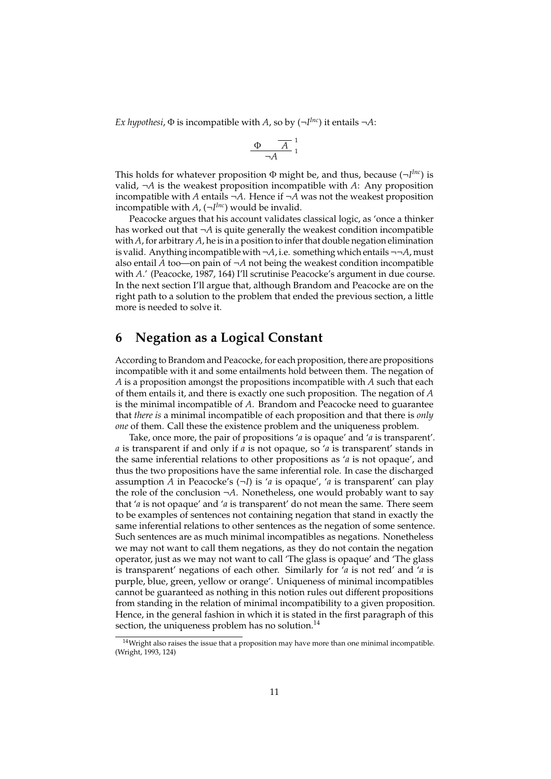*Ex hypothesi*,  $\Phi$  is incompatible with *A*, so by  $(\neg I^{Inc})$  it entails  $\neg A$ :

$$
\frac{\Phi \qquad \qquad \overline{A}^{1}}{\neg A}^{1}
$$

This holds for whatever proposition Φ might be, and thus, because (¬*I Inc*) is valid, ¬*A* is the weakest proposition incompatible with *A*: Any proposition incompatible with *A* entails  $\neg A$ . Hence if  $\neg A$  was not the weakest proposition incompatible with  $A$ ,  $(\neg I^{Inc})$  would be invalid.

Peacocke argues that his account validates classical logic, as 'once a thinker has worked out that  $\neg A$  is quite generally the weakest condition incompatible with *A*, for arbitrary *A*, he is in a position to infer that double negation elimination is valid. Anything incompatible with¬*A*, i.e. something which entails¬¬*A*, must also entail  $A$  too—on pain of  $\neg A$  not being the weakest condition incompatible with *A*.' (Peacocke, 1987, 164) I'll scrutinise Peacocke's argument in due course. In the next section I'll argue that, although Brandom and Peacocke are on the right path to a solution to the problem that ended the previous section, a little more is needed to solve it.

#### **6 Negation as a Logical Constant**

According to Brandom and Peacocke, for each proposition, there are propositions incompatible with it and some entailments hold between them. The negation of *A* is a proposition amongst the propositions incompatible with *A* such that each of them entails it, and there is exactly one such proposition. The negation of *A* is the minimal incompatible of *A*. Brandom and Peacocke need to guarantee that *there is* a minimal incompatible of each proposition and that there is *only one* of them. Call these the existence problem and the uniqueness problem.

Take, once more, the pair of propositions '*a* is opaque' and '*a* is transparent'. *a* is transparent if and only if *a* is not opaque, so '*a* is transparent' stands in the same inferential relations to other propositions as '*a* is not opaque', and thus the two propositions have the same inferential role. In case the discharged assumption *A* in Peacocke's (¬*I*) is '*a* is opaque', '*a* is transparent' can play the role of the conclusion  $\neg A$ . Nonetheless, one would probably want to say that '*a* is not opaque' and '*a* is transparent' do not mean the same. There seem to be examples of sentences not containing negation that stand in exactly the same inferential relations to other sentences as the negation of some sentence. Such sentences are as much minimal incompatibles as negations. Nonetheless we may not want to call them negations, as they do not contain the negation operator, just as we may not want to call 'The glass is opaque' and 'The glass is transparent' negations of each other. Similarly for '*a* is not red' and '*a* is purple, blue, green, yellow or orange'. Uniqueness of minimal incompatibles cannot be guaranteed as nothing in this notion rules out different propositions from standing in the relation of minimal incompatibility to a given proposition. Hence, in the general fashion in which it is stated in the first paragraph of this section, the uniqueness problem has no solution.<sup>14</sup>

<sup>&</sup>lt;sup>14</sup>Wright also raises the issue that a proposition may have more than one minimal incompatible. (Wright, 1993, 124)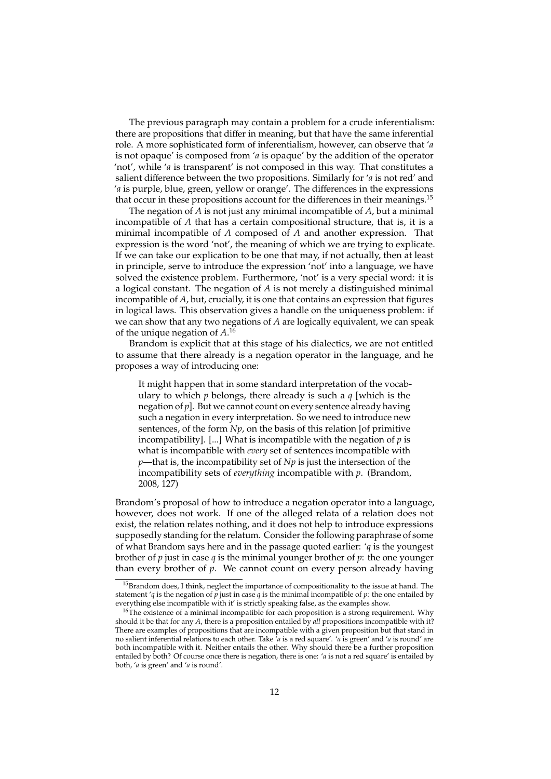The previous paragraph may contain a problem for a crude inferentialism: there are propositions that differ in meaning, but that have the same inferential role. A more sophisticated form of inferentialism, however, can observe that '*a* is not opaque' is composed from '*a* is opaque' by the addition of the operator 'not', while '*a* is transparent' is not composed in this way. That constitutes a salient difference between the two propositions. Similarly for '*a* is not red' and '*a* is purple, blue, green, yellow or orange'. The differences in the expressions that occur in these propositions account for the differences in their meanings.<sup>15</sup>

The negation of *A* is not just any minimal incompatible of *A*, but a minimal incompatible of *A* that has a certain compositional structure, that is, it is a minimal incompatible of *A* composed of *A* and another expression. That expression is the word 'not', the meaning of which we are trying to explicate. If we can take our explication to be one that may, if not actually, then at least in principle, serve to introduce the expression 'not' into a language, we have solved the existence problem. Furthermore, 'not' is a very special word: it is a logical constant. The negation of *A* is not merely a distinguished minimal incompatible of *A*, but, crucially, it is one that contains an expression that figures in logical laws. This observation gives a handle on the uniqueness problem: if we can show that any two negations of *A* are logically equivalent, we can speak of the unique negation of *A*. 16

Brandom is explicit that at this stage of his dialectics, we are not entitled to assume that there already is a negation operator in the language, and he proposes a way of introducing one:

It might happen that in some standard interpretation of the vocabulary to which *p* belongs, there already is such a *q* [which is the negation of *p*]. But we cannot count on every sentence already having such a negation in every interpretation. So we need to introduce new sentences, of the form *Np*, on the basis of this relation [of primitive incompatibility]. [...] What is incompatible with the negation of *p* is what is incompatible with *every* set of sentences incompatible with *p*—that is, the incompatibility set of *Np* is just the intersection of the incompatibility sets of *everything* incompatible with *p*. (Brandom, 2008, 127)

Brandom's proposal of how to introduce a negation operator into a language, however, does not work. If one of the alleged relata of a relation does not exist, the relation relates nothing, and it does not help to introduce expressions supposedly standing for the relatum. Consider the following paraphrase of some of what Brandom says here and in the passage quoted earlier: '*q* is the youngest brother of *p* just in case *q* is the minimal younger brother of *p*: the one younger than every brother of *p*. We cannot count on every person already having

<sup>15</sup>Brandom does, I think, neglect the importance of compositionality to the issue at hand. The statement '*q* is the negation of *p* just in case *q* is the minimal incompatible of *p*: the one entailed by everything else incompatible with it' is strictly speaking false, as the examples show.

<sup>&</sup>lt;sup>16</sup>The existence of a minimal incompatible for each proposition is a strong requirement. Why should it be that for any *A*, there is a proposition entailed by *all* propositions incompatible with it? There are examples of propositions that are incompatible with a given proposition but that stand in no salient inferential relations to each other. Take '*a* is a red square'. '*a* is green' and '*a* is round' are both incompatible with it. Neither entails the other. Why should there be a further proposition entailed by both? Of course once there is negation, there is one: '*a* is not a red square' is entailed by both, '*a* is green' and '*a* is round'.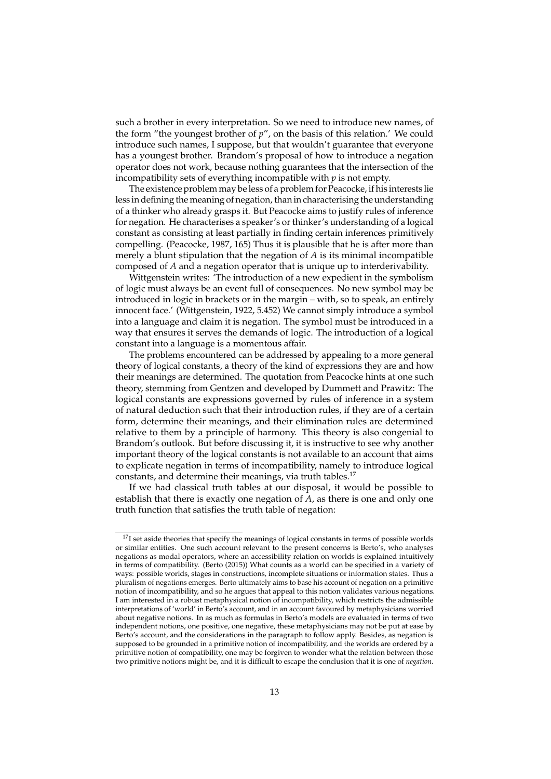such a brother in every interpretation. So we need to introduce new names, of the form "the youngest brother of *p*", on the basis of this relation.' We could introduce such names, I suppose, but that wouldn't guarantee that everyone has a youngest brother. Brandom's proposal of how to introduce a negation operator does not work, because nothing guarantees that the intersection of the incompatibility sets of everything incompatible with *p* is not empty.

The existence problem may be less of a problem for Peacocke, if his interests lie less in defining the meaning of negation, than in characterising the understanding of a thinker who already grasps it. But Peacocke aims to justify rules of inference for negation. He characterises a speaker's or thinker's understanding of a logical constant as consisting at least partially in finding certain inferences primitively compelling. (Peacocke, 1987, 165) Thus it is plausible that he is after more than merely a blunt stipulation that the negation of *A* is its minimal incompatible composed of *A* and a negation operator that is unique up to interderivability.

Wittgenstein writes: 'The introduction of a new expedient in the symbolism of logic must always be an event full of consequences. No new symbol may be introduced in logic in brackets or in the margin – with, so to speak, an entirely innocent face.' (Wittgenstein, 1922, 5.452) We cannot simply introduce a symbol into a language and claim it is negation. The symbol must be introduced in a way that ensures it serves the demands of logic. The introduction of a logical constant into a language is a momentous affair.

The problems encountered can be addressed by appealing to a more general theory of logical constants, a theory of the kind of expressions they are and how their meanings are determined. The quotation from Peacocke hints at one such theory, stemming from Gentzen and developed by Dummett and Prawitz: The logical constants are expressions governed by rules of inference in a system of natural deduction such that their introduction rules, if they are of a certain form, determine their meanings, and their elimination rules are determined relative to them by a principle of harmony. This theory is also congenial to Brandom's outlook. But before discussing it, it is instructive to see why another important theory of the logical constants is not available to an account that aims to explicate negation in terms of incompatibility, namely to introduce logical constants, and determine their meanings, via truth tables.<sup>17</sup>

If we had classical truth tables at our disposal, it would be possible to establish that there is exactly one negation of *A*, as there is one and only one truth function that satisfies the truth table of negation:

 $17$ I set aside theories that specify the meanings of logical constants in terms of possible worlds or similar entities. One such account relevant to the present concerns is Berto's, who analyses negations as modal operators, where an accessibility relation on worlds is explained intuitively in terms of compatibility. (Berto (2015)) What counts as a world can be specified in a variety of ways: possible worlds, stages in constructions, incomplete situations or information states. Thus a pluralism of negations emerges. Berto ultimately aims to base his account of negation on a primitive notion of incompatibility, and so he argues that appeal to this notion validates various negations. I am interested in a robust metaphysical notion of incompatibility, which restricts the admissible interpretations of 'world' in Berto's account, and in an account favoured by metaphysicians worried about negative notions. In as much as formulas in Berto's models are evaluated in terms of two independent notions, one positive, one negative, these metaphysicians may not be put at ease by Berto's account, and the considerations in the paragraph to follow apply. Besides, as negation is supposed to be grounded in a primitive notion of incompatibility, and the worlds are ordered by a primitive notion of compatibility, one may be forgiven to wonder what the relation between those two primitive notions might be, and it is difficult to escape the conclusion that it is one of *negation*.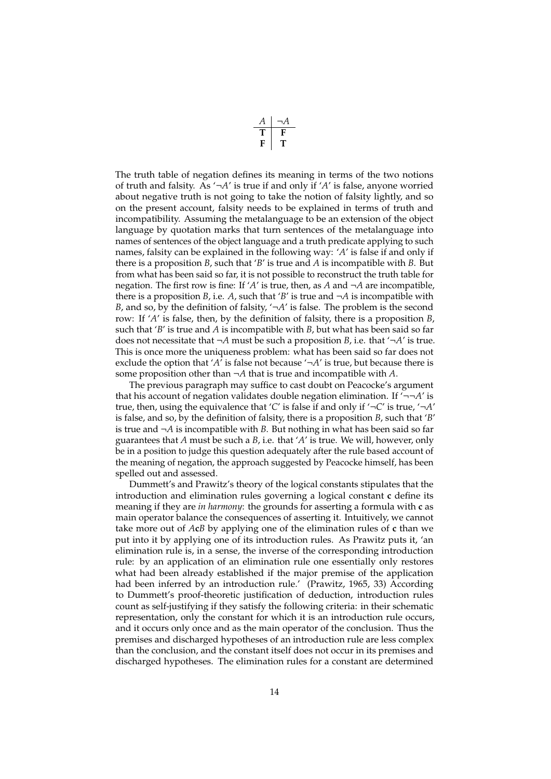$$
\begin{array}{c|c}\nA & \neg A \\
\hline\nT & F \\
F & T\n\end{array}
$$

The truth table of negation defines its meaning in terms of the two notions of truth and falsity. As '¬*A*' is true if and only if '*A*' is false, anyone worried about negative truth is not going to take the notion of falsity lightly, and so on the present account, falsity needs to be explained in terms of truth and incompatibility. Assuming the metalanguage to be an extension of the object language by quotation marks that turn sentences of the metalanguage into names of sentences of the object language and a truth predicate applying to such names, falsity can be explained in the following way: '*A*' is false if and only if there is a proposition *B*, such that '*B*' is true and *A* is incompatible with *B*. But from what has been said so far, it is not possible to reconstruct the truth table for negation. The first row is fine: If '*A*' is true, then, as *A* and  $\neg A$  are incompatible, there is a proposition *B*, i.e. *A*, such that '*B*' is true and  $\neg A$  is incompatible with *B*, and so, by the definition of falsity, '¬*A*' is false. The problem is the second row: If '*A*' is false, then, by the definition of falsity, there is a proposition *B*, such that '*B*' is true and *A* is incompatible with *B*, but what has been said so far does not necessitate that  $\neg A$  must be such a proposition *B*, i.e. that  $'\neg A'$  is true. This is once more the uniqueness problem: what has been said so far does not exclude the option that 'A' is false not because ' $\neg A'$  is true, but because there is some proposition other than ¬*A* that is true and incompatible with *A*.

The previous paragraph may suffice to cast doubt on Peacocke's argument that his account of negation validates double negation elimination. If '¬¬*A*' is true, then, using the equivalence that '*C*' is false if and only if '¬*C*' is true, '¬*A*' is false, and so, by the definition of falsity, there is a proposition *B*, such that '*B*' is true and ¬*A* is incompatible with *B*. But nothing in what has been said so far guarantees that *A* must be such a *B*, i.e. that '*A*' is true. We will, however, only be in a position to judge this question adequately after the rule based account of the meaning of negation, the approach suggested by Peacocke himself, has been spelled out and assessed.

Dummett's and Prawitz's theory of the logical constants stipulates that the introduction and elimination rules governing a logical constant **c** define its meaning if they are *in harmony*: the grounds for asserting a formula with **c** as main operator balance the consequences of asserting it. Intuitively, we cannot take more out of *A***c***B* by applying one of the elimination rules of **c** than we put into it by applying one of its introduction rules. As Prawitz puts it, 'an elimination rule is, in a sense, the inverse of the corresponding introduction rule: by an application of an elimination rule one essentially only restores what had been already established if the major premise of the application had been inferred by an introduction rule.' (Prawitz, 1965, 33) According to Dummett's proof-theoretic justification of deduction, introduction rules count as self-justifying if they satisfy the following criteria: in their schematic representation, only the constant for which it is an introduction rule occurs, and it occurs only once and as the main operator of the conclusion. Thus the premises and discharged hypotheses of an introduction rule are less complex than the conclusion, and the constant itself does not occur in its premises and discharged hypotheses. The elimination rules for a constant are determined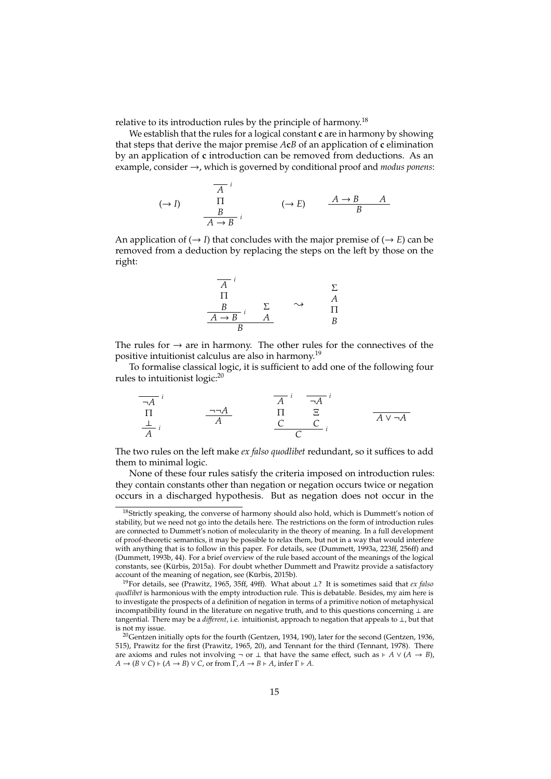relative to its introduction rules by the principle of harmony.<sup>18</sup>

We establish that the rules for a logical constant **c** are in harmony by showing that steps that derive the major premise *A***c***B* of an application of **c** elimination by an application of **c** introduction can be removed from deductions. As an example, consider →, which is governed by conditional proof and *modus ponens*:

$$
(\rightarrow I) \qquad \frac{\overline{A}^{i}}{\overline{A}}^{i} \qquad (\rightarrow E) \qquad \frac{A \rightarrow B \qquad A}{B}
$$
\n
$$
\overline{A \rightarrow B}^{i}
$$

An application of  $(\rightarrow I)$  that concludes with the major premise of  $(\rightarrow E)$  can be removed from a deduction by replacing the steps on the left by those on the right:

$$
\begin{array}{c|cc}\n\hline\n\overline{A} & i & & \Sigma \\
\hline\n\Pi & & & A \\
\hline\nB & & A & & \Pi \\
\hline\n\overline{A \rightarrow B} & i & A & & \Pi \\
\hline\nB & & & & \end{array}
$$

The rules for  $\rightarrow$  are in harmony. The other rules for the connectives of the positive intuitionist calculus are also in harmony.<sup>19</sup>

To formalise classical logic, it is sufficient to add one of the following four rules to intuitionist logic:<sup>20</sup>

$$
\frac{\overline{A}^{i}}{\Pi} \qquad \frac{\overline{A}^{i}}{\overline{A}^{i}} \qquad \frac{\overline{A}^{i}}{\Pi} \qquad \frac{\overline{A}^{i}}{\overline{C}^{i}} \qquad \frac{\overline{A}^{i}}{\overline{A}^{i}} \qquad \frac{\overline{A}^{i}}{\overline{A}^{i}} \qquad \frac{\overline{A}^{i}}{\overline{A}^{i}} \qquad \frac{\overline{A}^{i}}{\overline{A}^{i}} \qquad \frac{\overline{A}^{i}}{\overline{A}^{i}} \qquad \frac{\overline{A}^{i}}{\overline{A}^{i}} \qquad \frac{\overline{A}^{i}}{\overline{A}^{i}} \qquad \frac{\overline{A}^{i}}{\overline{A}^{i}} \qquad \frac{\overline{A}^{i}}{\overline{A}^{i}} \qquad \frac{\overline{A}^{i}}{\overline{A}^{i}} \qquad \frac{\overline{A}^{i}}{\overline{A}^{i}} \qquad \frac{\overline{A}^{i}}{\overline{A}^{i}} \qquad \frac{\overline{A}^{i}}{\overline{A}^{i}} \qquad \frac{\overline{A}^{i}}{\overline{A}^{i}} \qquad \frac{\overline{A}^{i}}{\overline{A}^{i}} \qquad \frac{\overline{A}^{i}}{\overline{A}^{i}} \qquad \frac{\overline{A}^{i}}{\overline{A}^{i}} \qquad \frac{\overline{A}^{i}}{\overline{A}^{i}} \qquad \frac{\overline{A}^{i}}{\overline{A}^{i}} \qquad \frac{\overline{A}^{i}}{\overline{A}^{i}} \qquad \frac{\overline{A}^{i}}{\overline{A}^{i}} \qquad \frac{\overline{A}^{i}}{\overline{A}^{i}} \qquad \frac{\overline{A}^{i}}{\overline{A}^{i}} \qquad \frac{\overline{A}^{i}}{\overline{A}^{i}} \qquad \frac{\overline{A}^{i}}{\overline{A}^{i}} \qquad \frac{\overline{A}^{i}}{\overline{A}^{i}} \qquad \frac{\overline{A}^{i}}{\overline{A}^{i}} \qquad \frac{\overline{A}^{i}}{\overline{A}^{i}} \qquad \frac{\overline{A}^{i}}{\overline{A}^{i}} \qquad \frac{\overline{A}^{i}}{\over
$$

The two rules on the left make *ex falso quodlibet* redundant, so it suffices to add them to minimal logic.

None of these four rules satisfy the criteria imposed on introduction rules: they contain constants other than negation or negation occurs twice or negation occurs in a discharged hypothesis. But as negation does not occur in the

<sup>&</sup>lt;sup>18</sup>Strictly speaking, the converse of harmony should also hold, which is Dummett's notion of stability, but we need not go into the details here. The restrictions on the form of introduction rules are connected to Dummett's notion of molecularity in the theory of meaning. In a full development of proof-theoretic semantics, it may be possible to relax them, but not in a way that would interfere with anything that is to follow in this paper. For details, see (Dummett, 1993a, 223ff, 256ff) and (Dummett, 1993b, 44). For a brief overview of the rule based account of the meanings of the logical constants, see (Kürbis, 2015a). For doubt whether Dummett and Prawitz provide a satisfactory account of the meaning of negation, see (Kürbis, 2015b).

<sup>19</sup>For details, see (Prawitz, 1965, 35ff, 49ff). What about ⊥? It is sometimes said that *ex falso quodlibet* is harmonious with the empty introduction rule. This is debatable. Besides, my aim here is to investigate the prospects of a definition of negation in terms of a primitive notion of metaphysical incompatibility found in the literature on negative truth, and to this questions concerning ⊥ are tangential. There may be a *di*ff*erent*, i.e. intuitionist, approach to negation that appeals to ⊥, but that is not my issue.

<sup>&</sup>lt;sup>20</sup>Gentzen initially opts for the fourth (Gentzen, 1934, 190), later for the second (Gentzen, 1936, 515), Prawitz for the first (Prawitz, 1965, 20), and Tennant for the third (Tennant, 1978). There are axioms and rules not involving  $\neg$  or  $\bot$  that have the same effect, such as  $\vdash A \lor (A \rightarrow B)$ ,  $A \rightarrow (B \vee C) \vdash (A \rightarrow B) \vee C$ , or from  $\Gamma, A \rightarrow B \vdash A$ , infer  $\Gamma \vdash A$ .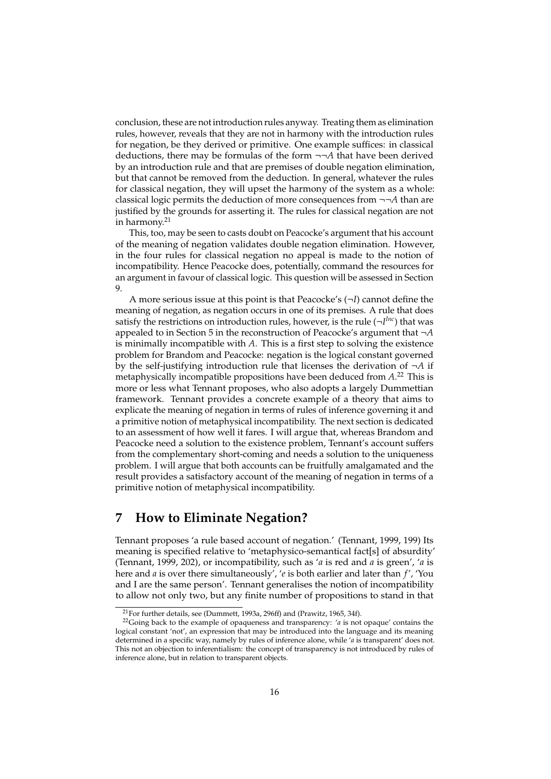conclusion, these are not introduction rules anyway. Treating them as elimination rules, however, reveals that they are not in harmony with the introduction rules for negation, be they derived or primitive. One example suffices: in classical deductions, there may be formulas of the form ¬¬*A* that have been derived by an introduction rule and that are premises of double negation elimination, but that cannot be removed from the deduction. In general, whatever the rules for classical negation, they will upset the harmony of the system as a whole: classical logic permits the deduction of more consequences from ¬¬*A* than are justified by the grounds for asserting it. The rules for classical negation are not in harmony.<sup>21</sup>

This, too, may be seen to casts doubt on Peacocke's argument that his account of the meaning of negation validates double negation elimination. However, in the four rules for classical negation no appeal is made to the notion of incompatibility. Hence Peacocke does, potentially, command the resources for an argument in favour of classical logic. This question will be assessed in Section 9.

A more serious issue at this point is that Peacocke's (¬*I*) cannot define the meaning of negation, as negation occurs in one of its premises. A rule that does satisfy the restrictions on introduction rules, however, is the rule ( $\neg I^{Inc}$ ) that was appealed to in Section 5 in the reconstruction of Peacocke's argument that ¬*A* is minimally incompatible with *A*. This is a first step to solving the existence problem for Brandom and Peacocke: negation is the logical constant governed by the self-justifying introduction rule that licenses the derivation of ¬*A* if metaphysically incompatible propositions have been deduced from *A*. <sup>22</sup> This is more or less what Tennant proposes, who also adopts a largely Dummettian framework. Tennant provides a concrete example of a theory that aims to explicate the meaning of negation in terms of rules of inference governing it and a primitive notion of metaphysical incompatibility. The next section is dedicated to an assessment of how well it fares. I will argue that, whereas Brandom and Peacocke need a solution to the existence problem, Tennant's account suffers from the complementary short-coming and needs a solution to the uniqueness problem. I will argue that both accounts can be fruitfully amalgamated and the result provides a satisfactory account of the meaning of negation in terms of a primitive notion of metaphysical incompatibility.

# **7 How to Eliminate Negation?**

Tennant proposes 'a rule based account of negation.' (Tennant, 1999, 199) Its meaning is specified relative to 'metaphysico-semantical fact[s] of absurdity' (Tennant, 1999, 202), or incompatibility, such as '*a* is red and *a* is green', '*a* is here and *a* is over there simultaneously', '*e* is both earlier and later than *f*', 'You and I are the same person'. Tennant generalises the notion of incompatibility to allow not only two, but any finite number of propositions to stand in that

 $^{21}$ For further details, see (Dummett, 1993a, 296ff) and (Prawitz, 1965, 34f).

 $22$ Going back to the example of opaqueness and transparency: '*a* is not opaque' contains the logical constant 'not', an expression that may be introduced into the language and its meaning determined in a specific way, namely by rules of inference alone, while '*a* is transparent' does not. This not an objection to inferentialism: the concept of transparency is not introduced by rules of inference alone, but in relation to transparent objects.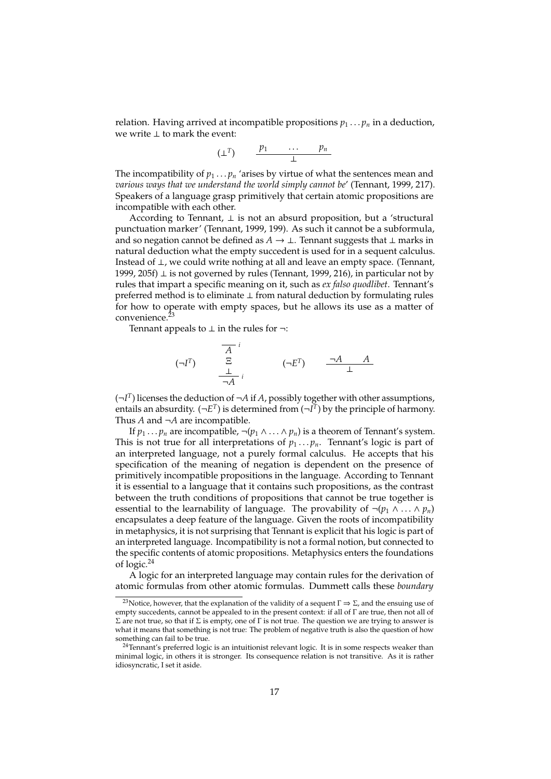relation. Having arrived at incompatible propositions  $p_1 \ldots p_n$  in a deduction, we write ⊥ to mark the event:

$$
(\perp^T) \qquad \frac{p_1 \qquad \ldots \qquad p_n}{\perp}
$$

The incompatibility of  $p_1 \ldots p_n$  'arises by virtue of what the sentences mean and *various ways that we understand the world simply cannot be*' (Tennant, 1999, 217). Speakers of a language grasp primitively that certain atomic propositions are incompatible with each other.

According to Tennant,  $\perp$  is not an absurd proposition, but a 'structural punctuation marker' (Tennant, 1999, 199). As such it cannot be a subformula, and so negation cannot be defined as *A* → ⊥. Tennant suggests that ⊥ marks in natural deduction what the empty succedent is used for in a sequent calculus. Instead of ⊥, we could write nothing at all and leave an empty space. (Tennant, 1999, 205f) ⊥ is not governed by rules (Tennant, 1999, 216), in particular not by rules that impart a specific meaning on it, such as *ex falso quodlibet*. Tennant's preferred method is to eliminate ⊥ from natural deduction by formulating rules for how to operate with empty spaces, but he allows its use as a matter of convenience.<sup>23</sup>

Tennant appeals to  $\perp$  in the rules for  $\neg$ :

$$
(\neg I^T) \qquad \begin{array}{c}\n\overline{A}^i \\
\vdots \\
\frac{\bot}{\neg A}^i\n\end{array} \qquad (\neg E^T) \qquad \begin{array}{c}\n\neg A \\
\overline{\phantom{A}} \\
\bot\n\end{array}
$$

 $(\neg I^T)$  licenses the deduction of  $\neg A$  if *A*, possibly together with other assumptions, entails an absurdity.  $(\neg E^T)$  is determined from  $(\neg \vec{I}^T)$  by the principle of harmony. Thus *A* and ¬*A* are incompatible.

If  $p_1 \ldots p_n$  are incompatible,  $\neg(p_1 \land \ldots \land p_n)$  is a theorem of Tennant's system. This is not true for all interpretations of  $p_1 \ldots p_n$ . Tennant's logic is part of an interpreted language, not a purely formal calculus. He accepts that his specification of the meaning of negation is dependent on the presence of primitively incompatible propositions in the language. According to Tennant it is essential to a language that it contains such propositions, as the contrast between the truth conditions of propositions that cannot be true together is essential to the learnability of language. The provability of  $\neg(p_1 \land \dots \land p_n)$ encapsulates a deep feature of the language. Given the roots of incompatibility in metaphysics, it is not surprising that Tennant is explicit that his logic is part of an interpreted language. Incompatibility is not a formal notion, but connected to the specific contents of atomic propositions. Metaphysics enters the foundations of logic.<sup>24</sup>

A logic for an interpreted language may contain rules for the derivation of atomic formulas from other atomic formulas. Dummett calls these *boundary*

<sup>&</sup>lt;sup>23</sup>Notice, however, that the explanation of the validity of a sequent  $\Gamma \Rightarrow \Sigma$ , and the ensuing use of empty succedents, cannot be appealed to in the present context: if all of Γ are true, then not all of Σ are not true, so that if Σ is empty, one of Γ is not true. The question we are trying to answer is what it means that something is not true: The problem of negative truth is also the question of how something can fail to be true.

<sup>&</sup>lt;sup>24</sup>Tennant's preferred logic is an intuitionist relevant logic. It is in some respects weaker than minimal logic, in others it is stronger. Its consequence relation is not transitive. As it is rather idiosyncratic, I set it aside.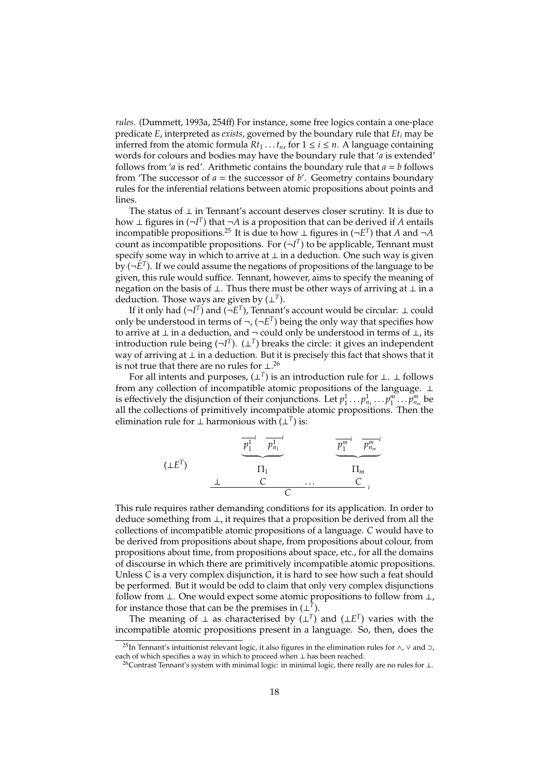*rules*. (Dummett, 1993a, 254ff) For instance, some free logics contain a one-place predicate *E*, interpreted as *exists*, governed by the boundary rule that *Et<sup>i</sup>* may be inferred from the atomic formula  $Rt_1 \ldots t_n$ , for  $1 \le i \le n$ . A language containing words for colours and bodies may have the boundary rule that '*a* is extended' follows from '*a* is red'. Arithmetic contains the boundary rule that  $a = b$  follows from 'The successor of *a* = the successor of *b*'. Geometry contains boundary rules for the inferential relations between atomic propositions about points and lines

The status of ⊥ in Tennant's account deserves closer scrutiny. It is due to how ⊥ figures in (¬*I T* ) that ¬*A* is a proposition that can be derived if *A* entails incompatible propositions.<sup>25</sup> It is due to how  $\perp$  figures in ( $\neg E^T$ ) that *A* and  $\neg A$ count as incompatible propositions. For  $(\neg I^T)$  to be applicable, Tennant must specify some way in which to arrive at ⊥ in a deduction. One such way is given by ( $\neg E^T$ ). If we could assume the negations of propositions of the language to be given, this rule would suffice. Tennant, however, aims to specify the meaning of negation on the basis of  $\perp$ . Thus there must be other ways of arriving at  $\perp$  in a deduction. Those ways are given by (⊥*<sup>T</sup>* ).

If it only had  $(\neg I^T)$  and  $(\neg E^T)$ , Tennant's account would be circular: ⊥ could only be understood in terms of  $\neg$ ,  $(\neg E^T)$  being the only way that specifies how to arrive at ⊥ in a deduction, and ¬ could only be understood in terms of ⊥, its introduction rule being  $(\neg I^T)$ .  $(\bot^T)$  breaks the circle: it gives an independent way of arriving at ⊥ in a deduction. But it is precisely this fact that shows that it is not true that there are no rules for  $\perp$ <sup>26</sup>

For all intents and purposes,  $(\perp^T)$  is an introduction rule for  $\perp$ .  $\perp$  follows from any collection of incompatible atomic propositions of the language. ⊥ is effectively the disjunction of their conjunctions. Let  $p_1^1 \dots p_{n_1}^1 \dots p_{1}^m \dots p_{n_m}^m$  be all the collections of primitively incompatible atomic propositions. Then the elimination rule for  $\perp$  harmonious with  $(L^T)$  is:

$$
(LET)
$$
\n
$$
\frac{\overline{p_1^{1}}^i \overline{p_{n_1}^1}^i}{\Pi_1}
$$
\n
$$
\frac{\Pi_1}{\Pi_2}
$$
\n
$$
\frac{\Pi_m}{\Pi_m}
$$
\n
$$
\frac{\Pi_m}{\Pi_m}
$$

This rule requires rather demanding conditions for its application. In order to deduce something from ⊥, it requires that a proposition be derived from all the collections of incompatible atomic propositions of a language. *C* would have to be derived from propositions about shape, from propositions about colour, from propositions about time, from propositions about space, etc., for all the domains of discourse in which there are primitively incompatible atomic propositions. Unless *C* is a very complex disjunction, it is hard to see how such a feat should be performed. But it would be odd to claim that only very complex disjunctions follow from ⊥. One would expect some atomic propositions to follow from ⊥, for instance those that can be the premises in  $(\perp^{\hat{T}})$ .

The meaning of  $\perp$  as characterised by  $(\perp^T)$  and  $(\perp E^T)$  varies with the incompatible atomic propositions present in a language. So, then, does the

<sup>25</sup>In Tennant's intuitionist relevant logic, it also figures in the elimination rules for ∧, ∨ and ⊃, each of which specifies a way in which to proceed when ⊥ has been reached.

<sup>&</sup>lt;sup>26</sup>Contrast Tennant's system with minimal logic: in minimal logic, there really are no rules for  $\perp$ .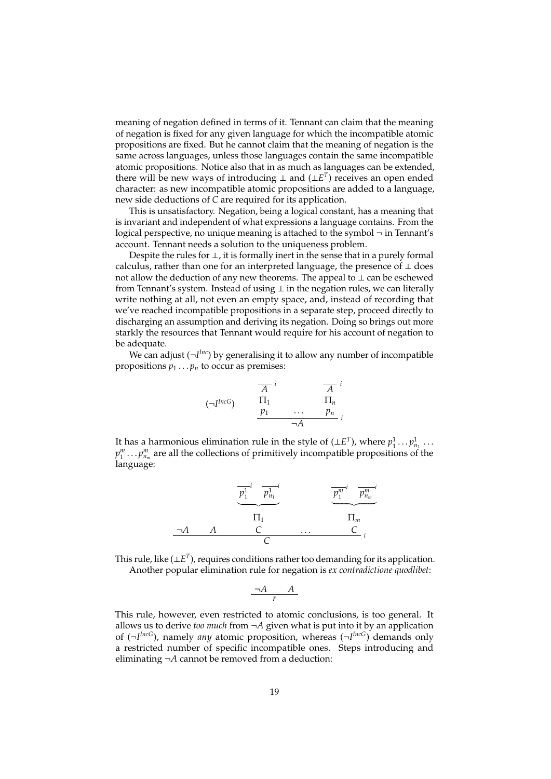meaning of negation defined in terms of it. Tennant can claim that the meaning of negation is fixed for any given language for which the incompatible atomic propositions are fixed. But he cannot claim that the meaning of negation is the same across languages, unless those languages contain the same incompatible atomic propositions. Notice also that in as much as languages can be extended, there will be new ways of introducing ⊥ and (⊥*E T* ) receives an open ended character: as new incompatible atomic propositions are added to a language, new side deductions of *C* are required for its application.

This is unsatisfactory. Negation, being a logical constant, has a meaning that is invariant and independent of what expressions a language contains. From the logical perspective, no unique meaning is attached to the symbol  $\neg$  in Tennant's account. Tennant needs a solution to the uniqueness problem.

Despite the rules for ⊥, it is formally inert in the sense that in a purely formal calculus, rather than one for an interpreted language, the presence of  $\perp$  does not allow the deduction of any new theorems. The appeal to ⊥ can be eschewed from Tennant's system. Instead of using ⊥ in the negation rules, we can literally write nothing at all, not even an empty space, and, instead of recording that we've reached incompatible propositions in a separate step, proceed directly to discharging an assumption and deriving its negation. Doing so brings out more starkly the resources that Tennant would require for his account of negation to be adequate.

We can adjust ( $\neg I^{Inc}$ ) by generalising it to allow any number of incompatible propositions  $p_1 \tldots p_n$  to occur as premises:

$$
(\neg I^{IncG})
$$
\n
$$
\overline{A}^{i}
$$
\n
$$
\overline{H}_{1}
$$
\n
$$
\overline{H}_{n}
$$
\n
$$
\overline{p}_{1}
$$
\n
$$
\neg A
$$
\n
$$
i
$$

It has a harmonious elimination rule in the style of  $(\perp E^T)$ , where  $p_1^1 \dots p_{n_1}^1 \dots$  $p_1^m \dots p_{n_m}^m$  are all the collections of primitively incompatible propositions of the language:

$$
\begin{array}{c|c}\n\overline{p_1^{1}}^i & \overline{p_{n_1}^1}^i \\
\hline\n\frac{\overline{p_1}^{m-i}}{\overline{p_1}^m} & \overline{p_1}^{m-i} \\
\hline\n\overline{p_1}^m & \overline{p_{n_m}^m} \\
\hline\n\overline{p_1}^m & \overline{p_{n_m}^m} \\
\hline\n\overline{p_1}^m & \overline{p_{n_m}^m} \\
\hline\n\overline{p_2}^m & \overline{p_{n_m}^m} \\
\hline\n\end{array}
$$

This rule, like (⊥*E*<sup>T</sup>), requires conditions rather too demanding for its application. Another popular elimination rule for negation is *ex contradictione quodlibet*:

$$
\frac{\neg A \qquad A}{r}
$$

This rule, however, even restricted to atomic conclusions, is too general. It allows us to derive *too much* from ¬*A* given what is put into it by an application of (¬*I IncG*), namely *any* atomic proposition, whereas (¬*I IncG*) demands only a restricted number of specific incompatible ones. Steps introducing and eliminating ¬*A* cannot be removed from a deduction: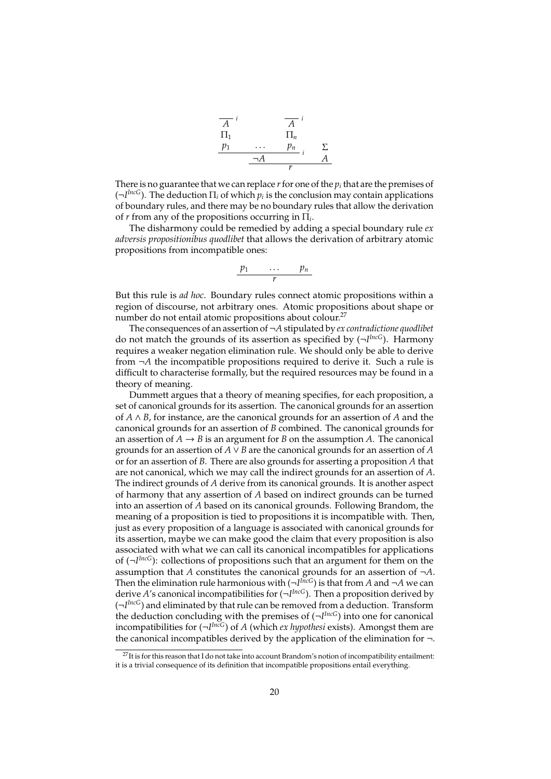

There is no guarantee that we can replace  $r$  for one of the  $p_i$  that are the premises of  $(¬I<sup>IncG</sup>)$ . The deduction  $\Pi$ <sub>*i*</sub> of which  $p$ <sub>*i*</sub> is the conclusion may contain applications of boundary rules, and there may be no boundary rules that allow the derivation of *r* from any of the propositions occurring in Π*<sup>i</sup>* .

The disharmony could be remedied by adding a special boundary rule *ex adversis propositionibus quodlibet* that allows the derivation of arbitrary atomic propositions from incompatible ones:

$$
\frac{p_1}{r} \cdots \frac{p_n}{r}
$$

But this rule is *ad hoc*. Boundary rules connect atomic propositions within a region of discourse, not arbitrary ones. Atomic propositions about shape or number do not entail atomic propositions about colour.<sup>27</sup>

The consequences of an assertion of¬*A* stipulated by *ex contradictione quodlibet* do not match the grounds of its assertion as specified by (¬*I IncG*). Harmony requires a weaker negation elimination rule. We should only be able to derive from ¬*A* the incompatible propositions required to derive it. Such a rule is difficult to characterise formally, but the required resources may be found in a theory of meaning.

Dummett argues that a theory of meaning specifies, for each proposition, a set of canonical grounds for its assertion. The canonical grounds for an assertion of *A* ∧ *B*, for instance, are the canonical grounds for an assertion of *A* and the canonical grounds for an assertion of *B* combined. The canonical grounds for an assertion of  $A \rightarrow B$  is an argument for *B* on the assumption *A*. The canonical grounds for an assertion of *A* ∨ *B* are the canonical grounds for an assertion of *A* or for an assertion of *B*. There are also grounds for asserting a proposition *A* that are not canonical, which we may call the indirect grounds for an assertion of *A*. The indirect grounds of *A* derive from its canonical grounds. It is another aspect of harmony that any assertion of *A* based on indirect grounds can be turned into an assertion of *A* based on its canonical grounds. Following Brandom, the meaning of a proposition is tied to propositions it is incompatible with. Then, just as every proposition of a language is associated with canonical grounds for its assertion, maybe we can make good the claim that every proposition is also associated with what we can call its canonical incompatibles for applications of (¬*I IncG*): collections of propositions such that an argument for them on the assumption that *A* constitutes the canonical grounds for an assertion of  $\neg A$ . Then the elimination rule harmonious with  $(\neg I^{IncG})$  is that from *A* and  $\neg A$  we can derive *A*'s canonical incompatibilities for (¬*I<sup>IncG</sup>*). Then a proposition derived by (¬*I IncG*) and eliminated by that rule can be removed from a deduction. Transform the deduction concluding with the premises of  $(\neg I^{IncG})$  into one for canonical incompatibilities for  $(\neg I^{IncG})$  of *A* (which *ex hypothesi* exists). Amongst them are the canonical incompatibles derived by the application of the elimination for  $\neg$ .

 $^{27}{\rm It}$  is for this reason that I do not take into account Brandom's notion of incompatibility entailment: it is a trivial consequence of its definition that incompatible propositions entail everything.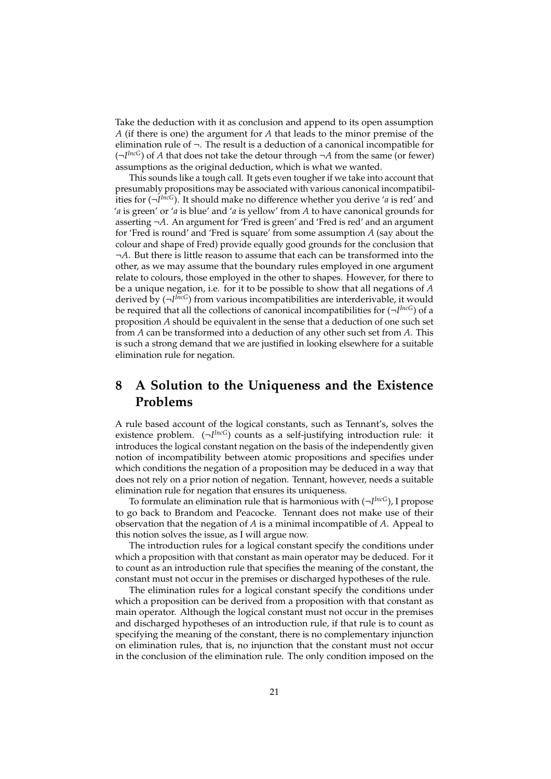Take the deduction with it as conclusion and append to its open assumption *A* (if there is one) the argument for *A* that leads to the minor premise of the elimination rule of  $\neg$ . The result is a deduction of a canonical incompatible for  $(\neg I^{IncG})$  of *A* that does not take the detour through  $\neg A$  from the same (or fewer) assumptions as the original deduction, which is what we wanted.

This sounds like a tough call. It gets even tougher if we take into account that presumably propositions may be associated with various canonical incompatibilities for (¬*I IncG*). It should make no difference whether you derive '*a* is red' and '*a* is green' or '*a* is blue' and '*a* is yellow' from *A* to have canonical grounds for asserting ¬*A*. An argument for 'Fred is green' and 'Fred is red' and an argument for 'Fred is round' and 'Fred is square' from some assumption *A* (say about the colour and shape of Fred) provide equally good grounds for the conclusion that ¬*A*. But there is little reason to assume that each can be transformed into the other, as we may assume that the boundary rules employed in one argument relate to colours, those employed in the other to shapes. However, for there to be a unique negation, i.e. for it to be possible to show that all negations of *A* derived by (¬*I IncG*) from various incompatibilities are interderivable, it would be required that all the collections of canonical incompatibilities for  $(\neg I^{IncG})$  of a proposition *A* should be equivalent in the sense that a deduction of one such set from *A* can be transformed into a deduction of any other such set from *A*. This is such a strong demand that we are justified in looking elsewhere for a suitable elimination rule for negation.

# **8 A Solution to the Uniqueness and the Existence Problems**

A rule based account of the logical constants, such as Tennant's, solves the existence problem.  $(\neg I^{IncG})$  counts as a self-justifying introduction rule: it introduces the logical constant negation on the basis of the independently given notion of incompatibility between atomic propositions and specifies under which conditions the negation of a proposition may be deduced in a way that does not rely on a prior notion of negation. Tennant, however, needs a suitable elimination rule for negation that ensures its uniqueness.

To formulate an elimination rule that is harmonious with  $(\neg I^{IncG})$ , I propose to go back to Brandom and Peacocke. Tennant does not make use of their observation that the negation of *A* is a minimal incompatible of *A*. Appeal to this notion solves the issue, as I will argue now.

The introduction rules for a logical constant specify the conditions under which a proposition with that constant as main operator may be deduced. For it to count as an introduction rule that specifies the meaning of the constant, the constant must not occur in the premises or discharged hypotheses of the rule.

The elimination rules for a logical constant specify the conditions under which a proposition can be derived from a proposition with that constant as main operator. Although the logical constant must not occur in the premises and discharged hypotheses of an introduction rule, if that rule is to count as specifying the meaning of the constant, there is no complementary injunction on elimination rules, that is, no injunction that the constant must not occur in the conclusion of the elimination rule. The only condition imposed on the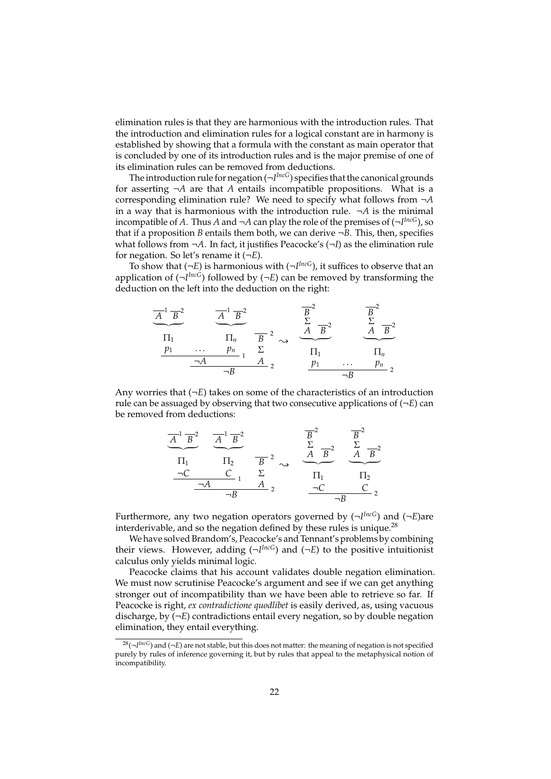elimination rules is that they are harmonious with the introduction rules. That the introduction and elimination rules for a logical constant are in harmony is established by showing that a formula with the constant as main operator that is concluded by one of its introduction rules and is the major premise of one of its elimination rules can be removed from deductions.

The introduction rule for negation (¬*I IncG*) specifies that the canonical grounds for asserting  $\neg A$  are that *A* entails incompatible propositions. What is a corresponding elimination rule? We need to specify what follows from ¬*A* in a way that is harmonious with the introduction rule.  $\neg A$  is the minimal incompatible of *A*. Thus *A* and ¬*A* can play the role of the premises of (¬*I IncG*), so that if a proposition *B* entails them both, we can derive  $\neg B$ . This, then, specifies what follows from  $\neg A$ . In fact, it justifies Peacocke's  $(\neg I)$  as the elimination rule for negation. So let's rename it (¬*E*).

To show that  $(-E)$  is harmonious with  $(-I^{IncG})$ , it suffices to observe that an application of  $(\neg I^{IncG})$  followed by  $(\neg E)$  can be removed by transforming the deduction on the left into the deduction on the right:

*A* 1 *B* 2 | {z } Π<sup>1</sup> *p*<sup>1</sup> . . . *A* 1 *B* 2 | {z } Π*<sup>n</sup> pn* 1 ¬*A* 2 *B* Σ *A* <sup>2</sup> ¬*B* { *A* Σ *B* 2 *B* 2 | {z } Π<sup>1</sup> *p*<sup>1</sup> . . . *A* Σ *B* 2 *B* 2 | {z } Π*<sup>n</sup> pn* 2 ¬*B*

Any worries that  $(-E)$  takes on some of the characteristics of an introduction rule can be assuaged by observing that two consecutive applications of (¬*E*) can be removed from deductions:

$$
\begin{array}{ccc}\n\overline{A}^1 \overline{B}^2 & \overline{A}^1 \overline{B}^2 & & \overline{B}^2 \\
\overline{\Pi}_1 & \Pi_2 & \overline{B}^2 & \rightarrow & \overline{A} \overline{B}^2 \\
\hline\n-\underline{C} & \underline{C} & \Sigma & \Pi_1 & \Pi_2 \\
\hline\n-\underline{A} & \underline{A} & \underline{A} & \overline{B}^2 & \overline{A} \overline{B}^2 \\
\hline\n-\underline{A} & \underline{A} & \underline{A} & \overline{B}^2 & \overline{A} \\
\hline\n-\underline{B} & \underline{A} & \underline{A} & \overline{B}^2 & \overline{A} \\
\hline\n-\underline{C} & \underline{C} & \underline{A} & \underline{A} & \overline{B}^2 \\
\hline\n-\underline{A} & \underline{A} & \underline{A} & \underline{A} & \overline{B}^2 \\
\hline\n-\underline{C} & \underline{C} & \underline{A} & \underline{A} & \overline{B}^2 \\
\hline\n-\underline{A} & \underline{A} & \underline{A} & \underline{A} & \overline{B}^2 \\
\hline\n-\underline{C} & \underline{C} & \underline{A} & \underline{A} & \overline{B}^2 \\
\hline\n-\underline{C} & \underline{C} & \underline{A} & \underline{A} & \overline{B}^2 \\
\hline\n-\underline{C} & \underline{C} & \underline{A} & \underline{A} & \overline{B}^2 \\
\hline\n-\underline{A} & \underline{A} & \underline{A} & \underline{A} & \overline{B}^2 \\
\hline\n-\underline{C} & \underline{C} & \underline{A} & \underline{A} & \overline{B}^2 \\
\hline\n-\underline{A} & \underline{A} & \underline{A} & \underline{A} & \underline{A} & \overline{B}^2 \\
\hline\n-\underline{C} & \
$$

Furthermore, any two negation operators governed by  $(\neg I^{IncG})$  and  $(\neg E)$ are interderivable, and so the negation defined by these rules is unique. $^{28}$ 

We have solved Brandom's, Peacocke's and Tennant's problems by combining their views. However, adding  $(\neg I^{IncG})$  and  $(\neg E)$  to the positive intuitionist calculus only yields minimal logic.

Peacocke claims that his account validates double negation elimination. We must now scrutinise Peacocke's argument and see if we can get anything stronger out of incompatibility than we have been able to retrieve so far. If Peacocke is right, *ex contradictione quodlibet* is easily derived, as, using vacuous discharge, by (¬*E*) contradictions entail every negation, so by double negation elimination, they entail everything.

 $28(-I<sup>IncG</sup>)$  and  $(-E)$  are not stable, but this does not matter: the meaning of negation is not specified purely by rules of inference governing it, but by rules that appeal to the metaphysical notion of incompatibility.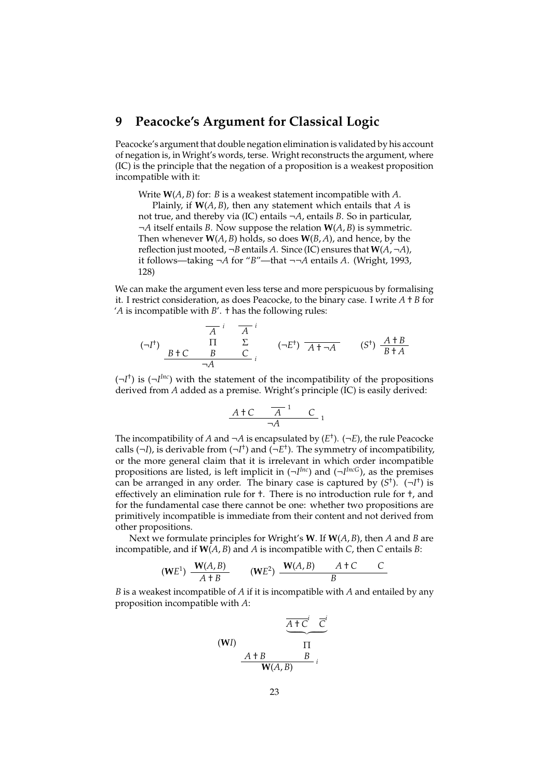# **9 Peacocke's Argument for Classical Logic**

Peacocke's argument that double negation elimination is validated by his account of negation is, in Wright's words, terse. Wright reconstructs the argument, where (IC) is the principle that the negation of a proposition is a weakest proposition incompatible with it:

Write  $W(A, B)$  for: *B* is a weakest statement incompatible with *A*. Plainly, if  $W(A, B)$ , then any statement which entails that *A* is not true, and thereby via (IC) entails ¬*A*, entails *B*. So in particular, ¬*A* itself entails *B*. Now suppose the relation **W**(*A*, *B*) is symmetric. Then whenever  $W(A, B)$  holds, so does  $W(B, A)$ , and hence, by the reflection just mooted,  $\neg B$  entails *A*. Since (IC) ensures that  $W(A, \neg A)$ , it follows—taking ¬*A* for "*B*"—that ¬¬*A* entails *A*. (Wright, 1993, 128)

We can make the argument even less terse and more perspicuous by formalising it. I restrict consideration, as does Peacocke, to the binary case. I write *A* † *B* for '*A* is incompatible with *B*'. † has the following rules:

$$
(\neg I^{\dagger}) \begin{array}{ccc} & \overline{A} & i \\ \Pi & \Sigma & (\neg E^{\dagger}) & \overline{A} + \overline{A} \\ \hline B + C & B & C \\ \neg A & & & \end{array} \qquad (\neg E^{\dagger}) \begin{array}{ccc} & \overline{A} + \overline{A} & & (S^{\dagger}) & \frac{A + B}{B + A} \\ & & & \end{array}
$$

 $(\neg I^{\dagger})$  is  $(\neg I^{Inc})$  with the statement of the incompatibility of the propositions derived from *A* added as a premise. Wright's principle (IC) is easily derived:

$$
\begin{array}{c|cc}\n & A + C & \overline{A}^1 & C \\
\hline\n\neg A & & \\
\end{array}
$$

The incompatibility of *A* and  $\neg A$  is encapsulated by  $(E^{\dagger})$ .  $(\neg E)$ , the rule Peacocke calls  $(\neg I)$ , is derivable from  $(\neg I^{\dagger})$  and  $(\neg E^{\dagger})$ . The symmetry of incompatibility, or the more general claim that it is irrelevant in which order incompatible propositions are listed, is left implicit in  $(\neg I^{Inc})$  and  $(\neg I^{IncG})$ , as the premises can be arranged in any order. The binary case is captured by  $(S^+)$ .  $(\neg I^+)$  is effectively an elimination rule for †. There is no introduction rule for †, and for the fundamental case there cannot be one: whether two propositions are primitively incompatible is immediate from their content and not derived from other propositions.

Next we formulate principles for Wright's **W**. If **W**(*A*, *B*), then *A* and *B* are incompatible, and if  $W(A, B)$  and *A* is incompatible with *C*, then *C* entails *B*:

$$
(\mathbf{W}E^1) \frac{\mathbf{W}(A,B)}{A+B} \qquad (\mathbf{W}E^2) \frac{\mathbf{W}(A,B)}{B} \frac{A+C}{C}
$$

*B* is a weakest incompatible of *A* if it is incompatible with *A* and entailed by any proposition incompatible with *A*:

$$
(WI)
$$
\n
$$
\begin{array}{c}\n\overline{A + C}^i \quad \overline{C}^i \\
\hline\n\frac{A + B}{W(A, B)}\n\end{array}
$$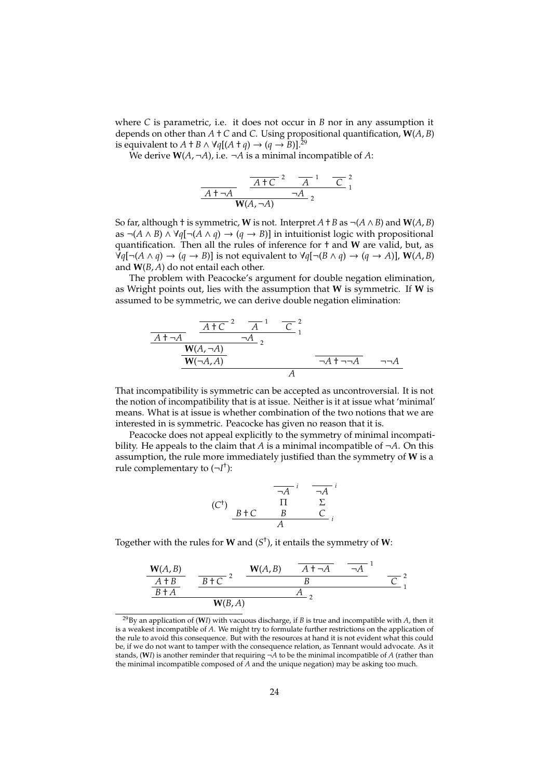where *C* is parametric, i.e. it does not occur in *B* nor in any assumption it depends on other than *A* † *C* and *C*. Using propositional quantification, **W**(*A*, *B*) is equivalent to *A* † *B*  $\land$   $\forall q[(A \dagger q) \rightarrow (q \rightarrow B)]^{29}$ 

We derive  $W(A, \neg A)$ , i.e.  $\neg A$  is a minimal incompatible of A:

$$
\frac{\overline{A + C^2} \quad \overline{A^1} \quad \overline{C}^2}{W(A, \neg A)^2}^1
$$

So far, although † is symmetric, **W** is not. Interpret  $A$  †  $B$  as  $\neg(A \land B)$  and  $\mathbf{W}(A, B)$ as ¬(*A* ∧ *B*) ∧  $\forall$ *q*[¬(*A* ∧ *q*) → (*q* → *B*)] in intuitionist logic with propositional quantification. Then all the rules of inference for † and **W** are valid, but, as  $\forall q$ [¬(*A* ∧ *q*) → (*q* → *B*)] is not equivalent to  $\forall q$ [¬(*B* ∧ *q*) → (*q* → *A*)], **W**(*A*, *B*) and **W**(*B*, *A*) do not entail each other.

The problem with Peacocke's argument for double negation elimination, as Wright points out, lies with the assumption that **W** is symmetric. If **W** is assumed to be symmetric, we can derive double negation elimination:

$$
\frac{\frac{\overline{A+C}^2 \quad \overline{A}^1 \quad \overline{C}^2}{\overline{A}}}{\frac{W(A,\neg A)}{W(\neg A,A)}}{N}
$$
\n
$$
\frac{W(A,\neg A)}{A}
$$

That incompatibility is symmetric can be accepted as uncontroversial. It is not the notion of incompatibility that is at issue. Neither is it at issue what 'minimal' means. What is at issue is whether combination of the two notions that we are interested in is symmetric. Peacocke has given no reason that it is.

Peacocke does not appeal explicitly to the symmetry of minimal incompatibility. He appeals to the claim that *A* is a minimal incompatible of  $\neg A$ . On this assumption, the rule more immediately justified than the symmetry of **W** is a rule complementary to  $(\neg I^+)$ :

$$
(C†) \frac{}{B+C} \frac{}{B+C} \frac{}{A} \frac{}{C} \frac{}{A}
$$

Together with the rules for **W** and (*S* † ), it entails the symmetry of **W**:

$$
\frac{W(A,B)}{\frac{A+B}{B+A}} \quad \frac{B+C^2}{B+C^2} \quad \frac{W(A,B)}{B} \quad \frac{A+A}{A^2} \quad \frac{A}{C^2}
$$

<sup>29</sup>By an application of (**W***I*) with vacuous discharge, if *B* is true and incompatible with *A*, then it is a weakest incompatible of *A*. We might try to formulate further restrictions on the application of the rule to avoid this consequence. But with the resources at hand it is not evident what this could be, if we do not want to tamper with the consequence relation, as Tennant would advocate. As it stands, (**W***I*) is another reminder that requiring ¬*A* to be the minimal incompatible of *A* (rather than the minimal incompatible composed of *A* and the unique negation) may be asking too much.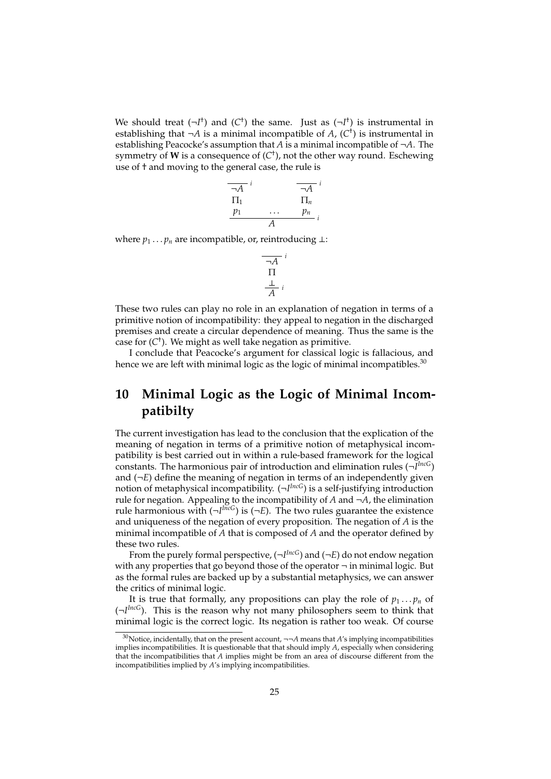We should treat  $(\neg I^{\dagger})$  and  $(C^{\dagger})$  the same. Just as  $(\neg I^{\dagger})$  is instrumental in establishing that  $\neg A$  is a minimal incompatible of  $A$ ,  $(C^{\dagger})$  is instrumental in establishing Peacocke's assumption that *A* is a minimal incompatible of  $\neg A$ . The symmetry of **W** is a consequence of (C<sup>†</sup>), not the other way round. Eschewing use of † and moving to the general case, the rule is

$$
\begin{array}{c}\n\overline{\neg A}^{i} \\
\Pi_1 \\
p_1 \\
\hline\nA\n\end{array}\n\quad\n\begin{array}{c}\n\overline{\neg A}^{i} \\
\Pi_n \\
\hline\n\Gamma_n \\
i\n\end{array}
$$

where  $p_1 \tldots p_n$  are incompatible, or, reintroducing ⊥:

$$
\overline{\mathcal{A}}^i
$$
  

$$
\Pi
$$
  

$$
\frac{\perp}{A}i
$$

These two rules can play no role in an explanation of negation in terms of a primitive notion of incompatibility: they appeal to negation in the discharged premises and create a circular dependence of meaning. Thus the same is the case for (*C* † ). We might as well take negation as primitive.

I conclude that Peacocke's argument for classical logic is fallacious, and hence we are left with minimal logic as the logic of minimal incompatibles. $30$ 

# **10 Minimal Logic as the Logic of Minimal Incompatibilty**

The current investigation has lead to the conclusion that the explication of the meaning of negation in terms of a primitive notion of metaphysical incompatibility is best carried out in within a rule-based framework for the logical constants. The harmonious pair of introduction and elimination rules (¬*I IncG*) and (¬*E*) define the meaning of negation in terms of an independently given notion of metaphysical incompatibility. ( $\neg I^{InCG}$ ) is a self-justifying introduction rule for negation. Appealing to the incompatibility of *A* and ¬*A*, the elimination rule harmonious with (¬*I<sup>mcG</sup>*) is (¬*E*). The two rules guarantee the existence and uniqueness of the negation of every proposition. The negation of *A* is the minimal incompatible of *A* that is composed of *A* and the operator defined by these two rules.

From the purely formal perspective, (¬*I IncG*) and (¬*E*) do not endow negation with any properties that go beyond those of the operator  $\neg$  in minimal logic. But as the formal rules are backed up by a substantial metaphysics, we can answer the critics of minimal logic.

It is true that formally, any propositions can play the role of  $p_1 \ldots p_n$  of (¬*I IncG*). This is the reason why not many philosophers seem to think that minimal logic is the correct logic. Its negation is rather too weak. Of course

 $30$ Notice, incidentally, that on the present account,  $\neg\neg A$  means that *A*'s implying incompatibilities implies incompatibilities. It is questionable that that should imply *A*, especially when considering that the incompatibilities that *A* implies might be from an area of discourse different from the incompatibilities implied by *A*'s implying incompatibilities.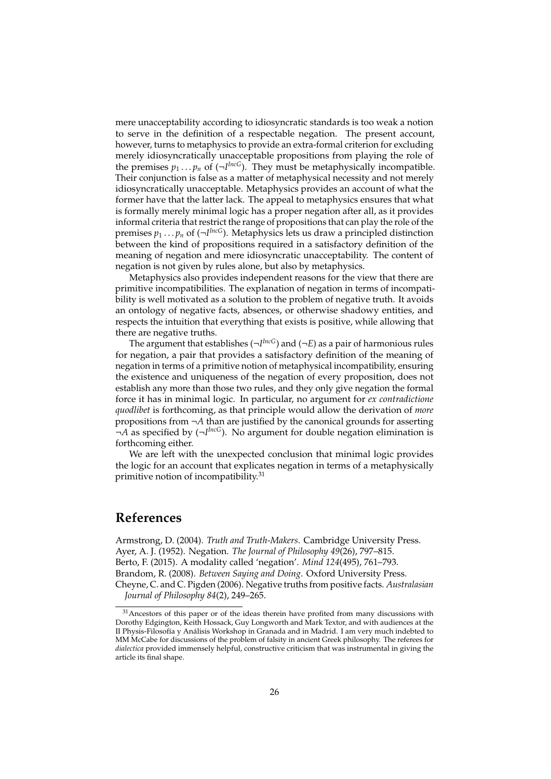mere unacceptability according to idiosyncratic standards is too weak a notion to serve in the definition of a respectable negation. The present account, however, turns to metaphysics to provide an extra-formal criterion for excluding merely idiosyncratically unacceptable propositions from playing the role of the premises  $p_1 \dots p_n$  of  $(\neg I^{IncG})$ . They must be metaphysically incompatible. Their conjunction is false as a matter of metaphysical necessity and not merely idiosyncratically unacceptable. Metaphysics provides an account of what the former have that the latter lack. The appeal to metaphysics ensures that what is formally merely minimal logic has a proper negation after all, as it provides informal criteria that restrict the range of propositions that can play the role of the premises  $p_1 \dots p_n$  of  $(\neg I^{IncG})$ . Metaphysics lets us draw a principled distinction between the kind of propositions required in a satisfactory definition of the meaning of negation and mere idiosyncratic unacceptability. The content of negation is not given by rules alone, but also by metaphysics.

Metaphysics also provides independent reasons for the view that there are primitive incompatibilities. The explanation of negation in terms of incompatibility is well motivated as a solution to the problem of negative truth. It avoids an ontology of negative facts, absences, or otherwise shadowy entities, and respects the intuition that everything that exists is positive, while allowing that there are negative truths.

The argument that establishes ( $\neg I^{IncG}$ ) and ( $\neg E$ ) as a pair of harmonious rules for negation, a pair that provides a satisfactory definition of the meaning of negation in terms of a primitive notion of metaphysical incompatibility, ensuring the existence and uniqueness of the negation of every proposition, does not establish any more than those two rules, and they only give negation the formal force it has in minimal logic. In particular, no argument for *ex contradictione quodlibet* is forthcoming, as that principle would allow the derivation of *more* propositions from ¬*A* than are justified by the canonical grounds for asserting ¬*A* as specified by (¬*I IncG*). No argument for double negation elimination is forthcoming either.

We are left with the unexpected conclusion that minimal logic provides the logic for an account that explicates negation in terms of a metaphysically primitive notion of incompatibility.<sup>31</sup>

#### **References**

Armstrong, D. (2004). *Truth and Truth-Makers*. Cambridge University Press. Ayer, A. J. (1952). Negation. *The Journal of Philosophy 49*(26), 797–815. Berto, F. (2015). A modality called 'negation'. *Mind 124*(495), 761–793. Brandom, R. (2008). *Between Saying and Doing*. Oxford University Press. Cheyne, C. and C. Pigden (2006). Negative truths from positive facts. *Australasian Journal of Philosophy 84*(2), 249–265.

<sup>&</sup>lt;sup>31</sup> Ancestors of this paper or of the ideas therein have profited from many discussions with Dorothy Edgington, Keith Hossack, Guy Longworth and Mark Textor, and with audiences at the II Physis-Filosofía y Análisis Workshop in Granada and in Madrid. I am very much indebted to MM McCabe for discussions of the problem of falsity in ancient Greek philosophy. The referees for *dialectica* provided immensely helpful, constructive criticism that was instrumental in giving the article its final shape.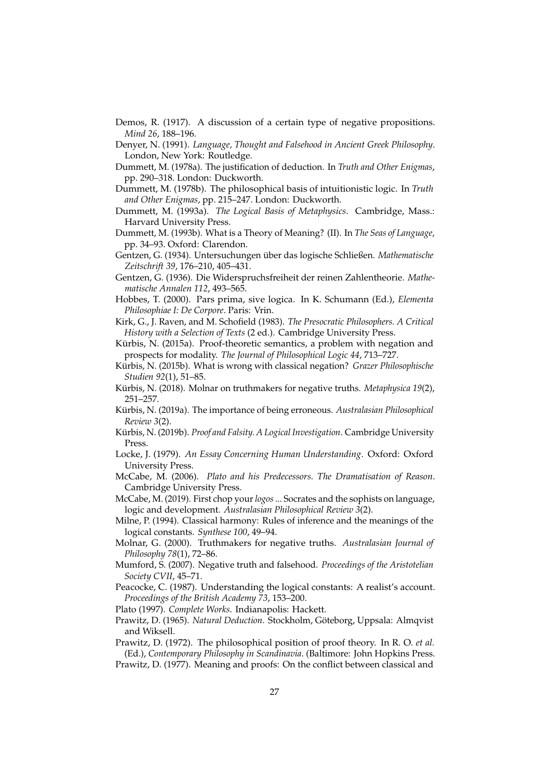- Demos, R. (1917). A discussion of a certain type of negative propositions. *Mind 26*, 188–196.
- Denyer, N. (1991). *Language, Thought and Falsehood in Ancient Greek Philosophy*. London, New York: Routledge.
- Dummett, M. (1978a). The justification of deduction. In *Truth and Other Enigmas*, pp. 290–318. London: Duckworth.
- Dummett, M. (1978b). The philosophical basis of intuitionistic logic. In *Truth and Other Enigmas*, pp. 215–247. London: Duckworth.
- Dummett, M. (1993a). *The Logical Basis of Metaphysics*. Cambridge, Mass.: Harvard University Press.
- Dummett, M. (1993b). What is a Theory of Meaning? (II). In *The Seas of Language*, pp. 34–93. Oxford: Clarendon.
- Gentzen, G. (1934). Untersuchungen über das logische Schließen. Mathematische *Zeitschrift 39*, 176–210, 405–431.
- Gentzen, G. (1936). Die Widerspruchsfreiheit der reinen Zahlentheorie. *Mathematische Annalen 112*, 493–565.
- Hobbes, T. (2000). Pars prima, sive logica. In K. Schumann (Ed.), *Elementa Philosophiae I: De Corpore*. Paris: Vrin.
- Kirk, G., J. Raven, and M. Schofield (1983). *The Presocratic Philosophers. A Critical History with a Selection of Texts* (2 ed.). Cambridge University Press.
- Kürbis, N. (2015a). Proof-theoretic semantics, a problem with negation and prospects for modality. *The Journal of Philosophical Logic 44*, 713–727.
- Kürbis, N. (2015b). What is wrong with classical negation? Grazer Philosophische *Studien 92*(1), 51–85.
- Kürbis, N. (2018). Molnar on truthmakers for negative truths. Metaphysica 19(2), 251–257.
- Kürbis, N. (2019a). The importance of being erroneous. Australasian Philosophical *Review 3*(2).
- Kürbis, N. (2019b). Proof and Falsity. A Logical Investigation. Cambridge University Press.
- Locke, J. (1979). *An Essay Concerning Human Understanding*. Oxford: Oxford University Press.
- McCabe, M. (2006). *Plato and his Predecessors. The Dramatisation of Reason*. Cambridge University Press.
- McCabe, M. (2019). First chop your*logos*... Socrates and the sophists on language, logic and development. *Australasian Philosophical Review 3*(2).
- Milne, P. (1994). Classical harmony: Rules of inference and the meanings of the logical constants. *Synthese 100*, 49–94.
- Molnar, G. (2000). Truthmakers for negative truths. *Australasian Journal of Philosophy 78*(1), 72–86.
- Mumford, S. (2007). Negative truth and falsehood. *Proceedings of the Aristotelian Society CVII*, 45–71.
- Peacocke, C. (1987). Understanding the logical constants: A realist's account. *Proceedings of the British Academy 73*, 153–200.

Plato (1997). *Complete Works*. Indianapolis: Hackett.

- Prawitz, D. (1965). *Natural Deduction*. Stockholm, Göteborg, Uppsala: Almqvist and Wiksell.
- Prawitz, D. (1972). The philosophical position of proof theory. In R. O. *et al.* (Ed.), *Contemporary Philosophy in Scandinavia*. (Baltimore: John Hopkins Press.
- Prawitz, D. (1977). Meaning and proofs: On the conflict between classical and